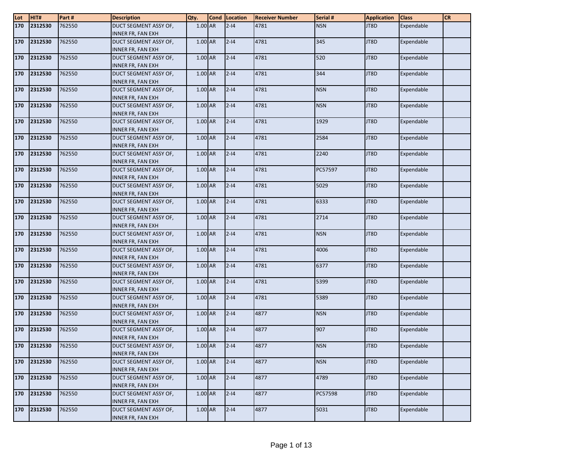| Lot | HIT#        | Part#  | <b>Description</b>                                | Qty.      | Cond Location | <b>Receiver Number</b> | Serial #   | <b>Application</b> | <b>Class</b> | <b>CR</b> |
|-----|-------------|--------|---------------------------------------------------|-----------|---------------|------------------------|------------|--------------------|--------------|-----------|
| 170 | 2312530     | 762550 | DUCT SEGMENT ASSY OF,                             | 1.00 AR   | $2 - 14$      | 4781                   | <b>NSN</b> | JT8D               | Expendable   |           |
|     |             |        | <b>INNER FR, FAN EXH</b>                          |           |               |                        |            |                    |              |           |
| 170 | 2312530     | 762550 | DUCT SEGMENT ASSY OF,                             | 1.00 AR   | $2 - 14$      | 4781                   | 345        | JT8D               | Expendable   |           |
|     |             |        | <b>INNER FR, FAN EXH</b>                          |           |               |                        |            |                    |              |           |
| 170 | 2312530     | 762550 | DUCT SEGMENT ASSY OF,                             | 1.00 AR   | $2 - 14$      | 4781                   | 520        | JT8D               | Expendable   |           |
|     |             |        | <b>INNER FR, FAN EXH</b>                          |           |               |                        |            |                    |              |           |
| 170 | 2312530     | 762550 | DUCT SEGMENT ASSY OF,                             | 1.00 AR   | $2 - 14$      | 4781                   | 344        | JT8D               | Expendable   |           |
|     |             |        | <b>INNER FR, FAN EXH</b>                          |           |               |                        |            |                    |              |           |
| 170 | 2312530     | 762550 | DUCT SEGMENT ASSY OF,                             | 1.00 AR   | $2 - 14$      | 4781                   | <b>NSN</b> | JT8D               | Expendable   |           |
|     |             |        | INNER FR, FAN EXH                                 |           |               |                        |            |                    |              |           |
| 170 | 2312530     | 762550 | DUCT SEGMENT ASSY OF,                             | $1.00$ AR | $2 - 14$      | 4781                   | <b>NSN</b> | JT8D               | Expendable   |           |
|     |             |        | <b>INNER FR, FAN EXH</b>                          |           |               |                        |            |                    |              |           |
| 170 | 2312530     | 762550 | DUCT SEGMENT ASSY OF,                             | 1.00 AR   | $2 - 14$      | 4781                   | 1929       | JT8D               | Expendable   |           |
|     |             |        | <b>INNER FR, FAN EXH</b>                          |           |               |                        |            |                    |              |           |
| 170 | 2312530     | 762550 | DUCT SEGMENT ASSY OF,                             | 1.00 AR   | $2 - 14$      | 4781                   | 2584       | JT8D               | Expendable   |           |
|     |             |        | INNER FR, FAN EXH                                 |           |               |                        |            |                    |              |           |
| 170 | 2312530     | 762550 | DUCT SEGMENT ASSY OF,                             | 1.00 AR   | $2 - 14$      | 4781                   | 2240       | JT8D               | Expendable   |           |
|     |             |        | <b>INNER FR, FAN EXH</b>                          |           |               |                        |            |                    |              |           |
| 170 | 2312530     | 762550 | DUCT SEGMENT ASSY OF,                             | $1.00$ AR | $2 - 14$      | 4781                   | PC57597    | JT8D               | Expendable   |           |
|     |             |        | <b>INNER FR, FAN EXH</b>                          |           |               |                        |            |                    |              |           |
| 170 | 2312530     | 762550 | DUCT SEGMENT ASSY OF,                             | 1.00 AR   | $2 - 14$      | 4781                   | 5029       | JT8D               | Expendable   |           |
|     |             |        | <b>INNER FR, FAN EXH</b>                          |           |               |                        |            |                    |              |           |
| 170 | 2312530     | 762550 | DUCT SEGMENT ASSY OF,                             | 1.00 AR   | $2 - 14$      | 4781                   | 6333       | JT8D               | Expendable   |           |
|     |             |        | <b>INNER FR, FAN EXH</b>                          |           |               |                        |            |                    |              |           |
| 170 | 2312530     | 762550 | DUCT SEGMENT ASSY OF,                             | 1.00 AR   | $2 - 14$      | 4781                   | 2714       | JT8D               | Expendable   |           |
|     |             |        | <b>INNER FR, FAN EXH</b>                          |           |               |                        |            |                    |              |           |
| 170 | 2312530     | 762550 | DUCT SEGMENT ASSY OF,                             | 1.00 AR   | $2 - 14$      | 4781                   | <b>NSN</b> | JT8D               | Expendable   |           |
|     |             |        | <b>INNER FR, FAN EXH</b>                          |           |               |                        |            |                    |              |           |
| 170 | 2312530     | 762550 | DUCT SEGMENT ASSY OF,                             | 1.00 AR   | $2 - 14$      | 4781                   | 4006       | JT8D               | Expendable   |           |
|     |             |        | <b>INNER FR, FAN EXH</b>                          |           |               |                        |            |                    |              |           |
| 170 | 2312530     | 762550 | DUCT SEGMENT ASSY OF,                             | 1.00 AR   | $2 - 14$      | 4781                   | 6377       | JT8D               | Expendable   |           |
|     |             |        | INNER FR, FAN EXH                                 |           |               |                        |            |                    |              |           |
| 170 | 2312530     | 762550 | DUCT SEGMENT ASSY OF,                             | 1.00 AR   | $2 - 14$      | 4781                   | 5399       | JT8D               | Expendable   |           |
|     |             |        | <b>INNER FR, FAN EXH</b>                          |           |               |                        |            |                    |              |           |
| 170 | 2312530     | 762550 | DUCT SEGMENT ASSY OF,                             | 1.00 AR   | $2 - 14$      | 4781                   | 5389       | JT8D               | Expendable   |           |
|     |             |        | <b>INNER FR, FAN EXH</b>                          |           |               |                        |            |                    |              |           |
| 170 | 2312530     | 762550 | DUCT SEGMENT ASSY OF,                             | $1.00$ AR | $2 - 14$      | 4877                   | <b>NSN</b> | JT8D               | Expendable   |           |
| 170 | 2312530     | 762550 | <b>INNER FR, FAN EXH</b><br>DUCT SEGMENT ASSY OF, | 1.00 AR   | $2 - 14$      | 4877                   | 907        | JT8D               | Expendable   |           |
|     |             |        | <b>INNER FR, FAN EXH</b>                          |           |               |                        |            |                    |              |           |
|     |             | 762550 |                                                   |           |               |                        |            |                    |              |           |
|     | 170 2312530 |        | DUCT SEGMENT ASSY OF,<br><b>INNER FR, FAN EXH</b> | 1.00 AR   | $ 2 - 14 $    | 4877                   | <b>NSN</b> | JT8D               | Expendable   |           |
| 170 | 2312530     | 762550 | DUCT SEGMENT ASSY OF,                             | 1.00 AR   | $2 - 14$      | 4877                   | <b>NSN</b> | JT8D               | Expendable   |           |
|     |             |        | <b>INNER FR, FAN EXH</b>                          |           |               |                        |            |                    |              |           |
| 170 | 2312530     | 762550 | DUCT SEGMENT ASSY OF,                             | $1.00$ AR | $2 - 14$      | 4877                   | 4789       | JT8D               | Expendable   |           |
|     |             |        | INNER FR, FAN EXH                                 |           |               |                        |            |                    |              |           |
| 170 | 2312530     | 762550 | DUCT SEGMENT ASSY OF,                             | 1.00 AR   | $2 - 14$      | 4877                   | PC57598    | JT8D               | Expendable   |           |
|     |             |        | <b>INNER FR, FAN EXH</b>                          |           |               |                        |            |                    |              |           |
| 170 | 2312530     | 762550 | DUCT SEGMENT ASSY OF,                             | $1.00$ AR | $2 - 14$      | 4877                   | 5031       | JT8D               | Expendable   |           |
|     |             |        | <b>INNER FR, FAN EXH</b>                          |           |               |                        |            |                    |              |           |
|     |             |        |                                                   |           |               |                        |            |                    |              |           |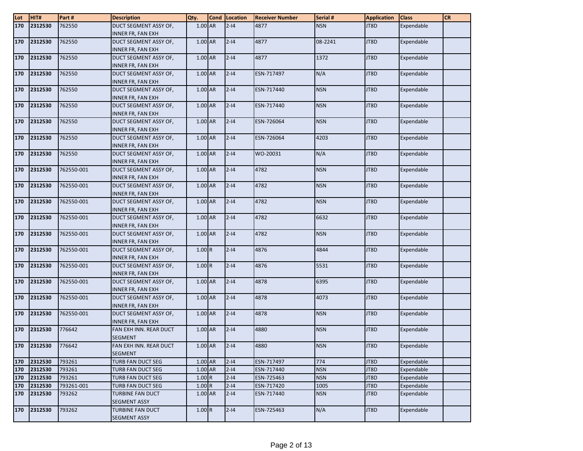| Lot | HIT#        | Part#      | <b>Description</b>       | Qty.      | Cond Location | <b>Receiver Number</b> | Serial #   | <b>Application</b> | <b>Class</b> | <b>CR</b> |
|-----|-------------|------------|--------------------------|-----------|---------------|------------------------|------------|--------------------|--------------|-----------|
| 170 | 2312530     | 762550     | DUCT SEGMENT ASSY OF,    | 1.00 AR   | $2 - 14$      | 4877                   | <b>NSN</b> | JT8D               | Expendable   |           |
|     |             |            | <b>INNER FR, FAN EXH</b> |           |               |                        |            |                    |              |           |
| 170 | 2312530     | 762550     | DUCT SEGMENT ASSY OF,    | 1.00 AR   | $2 - 14$      | 4877                   | 08-2241    | JT8D               | Expendable   |           |
|     |             |            | <b>INNER FR, FAN EXH</b> |           |               |                        |            |                    |              |           |
| 170 | 2312530     | 762550     | DUCT SEGMENT ASSY OF,    | 1.00 AR   | $2 - 14$      | 4877                   | 1372       | JT8D               | Expendable   |           |
|     |             |            | <b>INNER FR, FAN EXH</b> |           |               |                        |            |                    |              |           |
| 170 | 2312530     | 762550     | DUCT SEGMENT ASSY OF,    | 1.00 AR   | $2 - 14$      | ESN-717497             | N/A        | JT8D               | Expendable   |           |
|     |             |            | <b>INNER FR, FAN EXH</b> |           |               |                        |            |                    |              |           |
| 170 | 2312530     | 762550     | DUCT SEGMENT ASSY OF,    | 1.00 AR   | $2 - 14$      | ESN-717440             | <b>NSN</b> | JT8D               | Expendable   |           |
|     |             |            | INNER FR, FAN EXH        |           |               |                        |            |                    |              |           |
| 170 | 2312530     | 762550     | DUCT SEGMENT ASSY OF,    | $1.00$ AR | $2 - 14$      | ESN-717440             | <b>NSN</b> | JT8D               | Expendable   |           |
|     |             |            | <b>INNER FR, FAN EXH</b> |           |               |                        |            |                    |              |           |
| 170 | 2312530     | 762550     | DUCT SEGMENT ASSY OF,    | 1.00 AR   | $2 - 14$      | ESN-726064             | <b>NSN</b> | JT8D               | Expendable   |           |
|     |             |            | <b>INNER FR, FAN EXH</b> |           |               |                        |            |                    |              |           |
| 170 | 2312530     | 762550     | DUCT SEGMENT ASSY OF,    | 1.00 AR   | $2 - 14$      | ESN-726064             | 4203       | JT8D               | Expendable   |           |
|     |             |            | INNER FR, FAN EXH        |           |               |                        |            |                    |              |           |
| 170 | 2312530     | 762550     | DUCT SEGMENT ASSY OF,    | 1.00 AR   | $2 - 14$      | WO-20031               | N/A        | JT8D               | Expendable   |           |
|     |             |            | <b>INNER FR, FAN EXH</b> |           |               |                        |            |                    |              |           |
| 170 | 2312530     | 762550-001 | DUCT SEGMENT ASSY OF,    | $1.00$ AR | $2 - 14$      | 4782                   | <b>NSN</b> | JT8D               | Expendable   |           |
|     |             |            | INNER FR, FAN EXH        |           |               |                        |            |                    |              |           |
| 170 | 2312530     | 762550-001 | DUCT SEGMENT ASSY OF,    | $1.00$ AR | $2 - 14$      | 4782                   | <b>NSN</b> | JT8D               | Expendable   |           |
|     |             |            | <b>INNER FR, FAN EXH</b> |           |               |                        |            |                    |              |           |
| 170 | 2312530     | 762550-001 | DUCT SEGMENT ASSY OF,    | 1.00 AR   | $2 - 14$      | 4782                   | <b>NSN</b> | JT8D               | Expendable   |           |
|     |             |            | <b>INNER FR, FAN EXH</b> |           |               |                        |            |                    |              |           |
| 170 | 2312530     | 762550-001 | DUCT SEGMENT ASSY OF,    | 1.00 AR   | $2 - 14$      | 4782                   | 6632       | JT8D               | Expendable   |           |
|     |             |            | <b>INNER FR, FAN EXH</b> |           |               |                        |            |                    |              |           |
| 170 | 2312530     | 762550-001 | DUCT SEGMENT ASSY OF,    | 1.00 AR   | $2 - 14$      | 4782                   | <b>NSN</b> | JT8D               | Expendable   |           |
|     |             |            | <b>INNER FR, FAN EXH</b> |           |               |                        |            |                    |              |           |
| 170 | 2312530     | 762550-001 | DUCT SEGMENT ASSY OF,    | 1.00R     | $2 - 14$      | 4876                   | 4844       | JT8D               | Expendable   |           |
|     |             |            | <b>INNER FR, FAN EXH</b> |           |               |                        |            |                    |              |           |
| 170 | 2312530     | 762550-001 | DUCT SEGMENT ASSY OF,    | 1.00R     | $2 - 14$      | 4876                   | 5531       | JT8D               | Expendable   |           |
|     |             |            | INNER FR, FAN EXH        |           |               |                        |            |                    |              |           |
| 170 | 2312530     | 762550-001 | DUCT SEGMENT ASSY OF,    | 1.00 AR   | $2 - 14$      | 4878                   | 6395       | JT8D               | Expendable   |           |
|     |             |            | <b>INNER FR, FAN EXH</b> |           |               |                        |            |                    |              |           |
| 170 | 2312530     | 762550-001 | DUCT SEGMENT ASSY OF,    | 1.00 AR   | $2 - 14$      | 4878                   | 4073       | JT8D               | Expendable   |           |
|     |             |            | <b>INNER FR, FAN EXH</b> |           |               |                        |            |                    |              |           |
| 170 | 2312530     | 762550-001 | DUCT SEGMENT ASSY OF,    | $1.00$ AR | $2 - 14$      | 4878                   | <b>NSN</b> | JT8D               | Expendable   |           |
|     |             |            | <b>INNER FR, FAN EXH</b> |           |               |                        |            |                    |              |           |
| 170 | 2312530     | 776642     | FAN EXH INN. REAR DUCT   | 1.00 AR   | $2 - 14$      | 4880                   | <b>NSN</b> | JT8D               | Expendable   |           |
|     |             |            | <b>SEGMENT</b>           |           |               |                        |            |                    |              |           |
|     | 170 2312530 | 776642     | FAN EXH INN. REAR DUCT   | 1.00 AR   | $ 2 - 14 $    | 4880                   | <b>NSN</b> | JT8D               | Expendable   |           |
|     |             |            | SEGMENT                  |           |               |                        |            |                    |              |           |
| 170 | 2312530     | 793261     | <b>TURB FAN DUCT SEG</b> | 1.00 AR   | $2 - 14$      | ESN-717497             | 774        | JT8D               | Expendable   |           |
| 170 | 2312530     | 793261     | TURB FAN DUCT SEG        | 1.00 AR   | $2 - 14$      | ESN-717440             | <b>NSN</b> | JT8D               | Expendable   |           |
| 170 | 2312530     | 793261     | TURB FAN DUCT SEG        | 1.00R     | $2 - 14$      | ESN-725463             | <b>NSN</b> | JT8D               | Expendable   |           |
| 170 | 2312530     | 793261-001 | TURB FAN DUCT SEG        | 1.00R     | $2 - 14$      | ESN-717420             | 1005       | JT8D               | Expendable   |           |
| 170 | 2312530     | 793262     | TURBINE FAN DUCT         | 1.00 AR   | $2 - 14$      | ESN-717440             | <b>NSN</b> | JT8D               | Expendable   |           |
|     |             |            | <b>SEGMENT ASSY</b>      |           |               |                        |            |                    |              |           |
| 170 | 2312530     | 793262     | <b>TURBINE FAN DUCT</b>  | 1.00R     | $2 - 14$      | ESN-725463             | N/A        | JT8D               | Expendable   |           |
|     |             |            | <b>SEGMENT ASSY</b>      |           |               |                        |            |                    |              |           |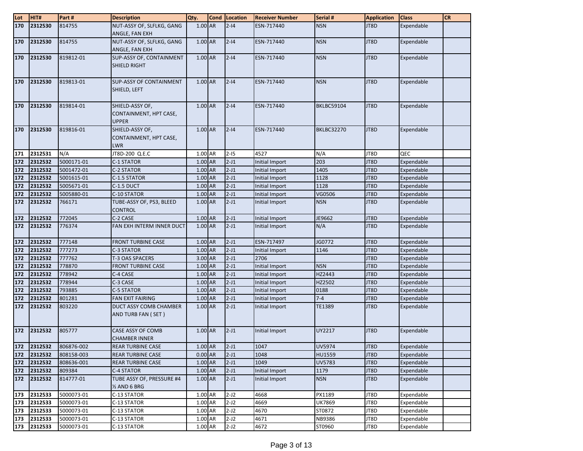| Lot | HIT#    | Part#      | <b>Description</b>                                        | Qty.      | Cond Location | <b>Receiver Number</b> | Serial #          | <b>Application</b> | <b>Class</b> | <b>CR</b> |
|-----|---------|------------|-----------------------------------------------------------|-----------|---------------|------------------------|-------------------|--------------------|--------------|-----------|
| 170 | 2312530 | 814755     | NUT-ASSY OF, SLFLKG, GANG<br>ANGLE, FAN EXH               | 1.00 AR   | $2 - 14$      | ESN-717440             | <b>NSN</b>        | JT8D               | Expendable   |           |
| 170 | 2312530 | 814755     | NUT-ASSY OF, SLFLKG, GANG<br>ANGLE, FAN EXH               | 1.00 AR   | $2 - 14$      | ESN-717440             | <b>NSN</b>        | JT8D               | Expendable   |           |
| 170 | 2312530 | 819812-01  | SUP-ASSY OF, CONTAINMENT<br>SHIELD RIGHT                  | $1.00$ AR | $2 - 14$      | ESN-717440             | <b>NSN</b>        | JT8D               | Expendable   |           |
| 170 | 2312530 | 819813-01  | <b>SUP-ASSY OF CONTAINMENT</b><br>SHIELD, LEFT            | 1.00 AR   | $2 - 14$      | ESN-717440             | <b>NSN</b>        | JT8D               | Expendable   |           |
| 170 | 2312530 | 819814-01  | SHIELD-ASSY OF,<br>CONTAINMENT, HPT CASE,<br><b>UPPER</b> | 1.00 AR   | $2 - 14$      | ESN-717440             | <b>BKLBC59104</b> | JT8D               | Expendable   |           |
| 170 | 2312530 | 819816-01  | SHIELD-ASSY OF,<br>CONTAINMENT, HPT CASE,<br><b>LWR</b>   | 1.00 AR   | $2 - 14$      | ESN-717440             | <b>BKLBC32270</b> | JT8D               | Expendable   |           |
| 171 | 2312531 | N/A        | JT8D-200 Q.E.C                                            | 1.00 AR   | $2 - 15$      | 4527                   | N/A               | JT8D               | QEC          |           |
| 172 | 2312532 | 5000171-01 | <b>C-1 STATOR</b>                                         | 1.00 AR   | $2-J1$        | Initial Import         | 203               | JT8D               | Expendable   |           |
| 172 | 2312532 | 5001472-01 | C-2 STATOR                                                | 1.00 AR   | $2-J1$        | Initial Import         | 1405              | JT8D               | Expendable   |           |
| 172 | 2312532 | 5001615-01 | C-1.5 STATOR                                              | 1.00 AR   | $2-J1$        | Initial Import         | 1128              | JT8D               | Expendable   |           |
| 172 | 2312532 | 5005671-01 | C-1.5 DUCT                                                | 1.00 AR   | $2-J1$        | Initial Import         | 1128              | JT8D               | Expendable   |           |
| 172 | 2312532 | 5005880-01 | <b>C-10 STATOR</b>                                        | 1.00 AR   | $2-J1$        | Initial Import         | VG0506            | JT8D               | Expendable   |           |
| 172 | 2312532 | 766171     | TUBE-ASSY OF, PS3, BLEED<br><b>CONTROL</b>                | 1.00 AR   | $2-J1$        | Initial Import         | <b>NSN</b>        | JT8D               | Expendable   |           |
| 172 | 2312532 | 772045     | C-2 CASE                                                  | 1.00 AR   | $2-J1$        | Initial Import         | JE9662            | JT8D               | Expendable   |           |
| 172 | 2312532 | 776374     | <b>FAN EXH INTERM INNER DUCT</b>                          | 1.00 AR   | $2-J1$        | Initial Import         | N/A               | JT8D               | Expendable   |           |
| 172 | 2312532 | 777148     | <b>FRONT TURBINE CASE</b>                                 | 1.00 AR   | $2-J1$        | ESN-717497             | JG0772            | JT8D               | Expendable   |           |
| 172 | 2312532 | 777273     | C-3 STATOR                                                | 1.00 AR   | $2-J1$        | Initial Import         | 1146              | JT8D               | Expendable   |           |
| 172 | 2312532 | 777762     | <b>T-3 OAS SPACERS</b>                                    | 3.00 AR   | $2-J1$        | 2706                   |                   | JT8D               | Expendable   |           |
| 172 | 2312532 | 778870     | <b>FRONT TURBINE CASE</b>                                 | $1.00$ AR | $2-J1$        | Initial Import         | <b>NSN</b>        | JT8D               | Expendable   |           |
| 172 | 2312532 | 778942     | C-4 CASE                                                  | 1.00 AR   | $2-J1$        | Initial Import         | HZ2443            | JT8D               | Expendable   |           |
| 172 | 2312532 | 778944     | C-3 CASE                                                  | 1.00 AR   | $2-J1$        | Initial Import         | HZ2502            | JT8D               | Expendable   |           |
| 172 | 2312532 | 793885     | <b>C-5 STATOR</b>                                         | 1.00 AR   | $2-J1$        | Initial Import         | 0188              | JT8D               | Expendable   |           |
| 172 | 2312532 | 801281     | <b>FAN EXIT FAIRING</b>                                   | 1.00 AR   | $2-J1$        | Initial Import         | $7 - 4$           | JT8D               | Expendable   |           |
| 172 | 2312532 | 803220     | <b>DUCT ASSY COMB CHAMBER</b><br>AND TURB FAN (SET)       | $1.00$ AR | $2-J1$        | Initial Import         | TE1389            | JT8D               | Expendable   |           |
| 172 | 2312532 | 805777     | <b>CASE ASSY OF COMB</b><br><b>CHAMBER INNER</b>          | 1.00 AR   | $2-J1$        | Initial Import         | UY2217            | JT8D               | Expendable   |           |
| 172 | 2312532 | 806876-002 | <b>REAR TURBINE CASE</b>                                  | 1.00 AR   | $2-J1$        | 1047                   | <b>UV5974</b>     | JT8D               | Expendable   |           |
| 172 | 2312532 | 808158-003 | <b>REAR TURBINE CASE</b>                                  | $0.00$ AR | $2-J1$        | 1048                   | HU1559            | JT8D               | Expendable   |           |
| 172 | 2312532 | 808636-001 | <b>REAR TURBINE CASE</b>                                  | 1.00 AR   | $2-J1$        | 1049                   | UV5783            | JT8D               | Expendable   |           |
| 172 | 2312532 | 809384     | C-4 STATOR                                                | 1.00 AR   | $2-J1$        | Initial Import         | 1179              | JT8D               | Expendable   |           |
| 172 | 2312532 | 814777-01  | TUBE ASSY OF, PRESSURE #4<br>1/2 AND 6 BRG                | 1.00 AR   | $2-J1$        | Initial Import         | <b>NSN</b>        | JT8D               | Expendable   |           |
| 173 | 2312533 | 5000073-01 | C-13 STATOR                                               | 1.00 AR   | $2-J2$        | 4668                   | PX1189            | JT8D               | Expendable   |           |
| 173 | 2312533 | 5000073-01 | C-13 STATOR                                               | 1.00 AR   | $2-J2$        | 4669                   | UK7869            | JT8D               | Expendable   |           |
| 173 | 2312533 | 5000073-01 | C-13 STATOR                                               | 1.00 AR   | $2-J2$        | 4670                   | ST0872            | JT8D               | Expendable   |           |
| 173 | 2312533 | 5000073-01 | C-13 STATOR                                               | 1.00 AR   | $2-J2$        | 4671                   | NB9386            | JT8D               | Expendable   |           |
| 173 | 2312533 | 5000073-01 | C-13 STATOR                                               | 1.00 AR   | $2-J2$        | 4672                   | ST0960            | JT8D               | Expendable   |           |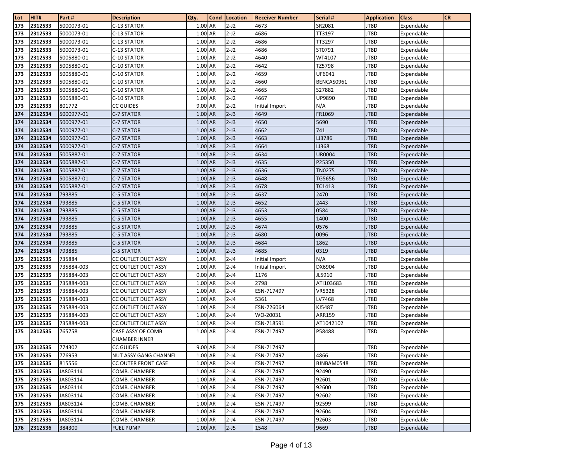| Lot        | HIT#               | Part#            | <b>Description</b>              | Qty.                 | Cond | Location         | <b>Receiver Number</b> | Serial #      | <b>Application</b> | <b>Class</b>             | <b>CR</b> |
|------------|--------------------|------------------|---------------------------------|----------------------|------|------------------|------------------------|---------------|--------------------|--------------------------|-----------|
| 173        | 2312533            | 5000073-01       | C-13 STATOR                     | 1.00 AR              |      | $2-J2$           | 4673                   | SR2081        | JT8D               | Expendable               |           |
| 173        | 2312533            | 5000073-01       | C-13 STATOR                     | 1.00 AR              |      | $2-J2$           | 4686                   | TT3197        | JT8D               | Expendable               |           |
| 173        | 2312533            | 5000073-01       | C-13 STATOR                     | 1.00 AR              |      | $2-J2$           | 4686                   | TT3297        | JT8D               | Expendable               |           |
| 173        | 2312533            | 5000073-01       | C-13 STATOR                     | 1.00 AR              |      | $2-J2$           | 4686                   | ST0791        | JT8D               | Expendable               |           |
| 173        | 2312533            | 5005880-01       | C-10 STATOR                     | 1.00 AR              |      | $2-J2$           | 4640                   | WT4107        | JT8D               | Expendable               |           |
| 173        | 2312533            | 5005880-01       | C-10 STATOR                     | 1.00 AR              |      | $2-J2$           | 4642                   | TZ5798        | JT8D               | Expendable               |           |
| 173        | 2312533            | 5005880-01       | C-10 STATOR                     | 1.00 AR              |      | $2-J2$           | 4659                   | UF6041        | JT8D               | Expendable               |           |
| 173        | 2312533            | 5005880-01       | C-10 STATOR                     | 1.00 AR              |      | $2-J2$           | 4660                   | BENCAS0961    | JT8D               | Expendable               |           |
| 173        | 2312533            | 5005880-01       | C-10 STATOR                     | 1.00 AR              |      | $2-J2$           | 4665                   | S27882        | JT8D               | Expendable               |           |
| 173        | 2312533            | 5005880-01       | C-10 STATOR                     | 1.00 AR              |      | $2-J2$           | 4667                   | UP9890        | JT8D               | Expendable               |           |
| 173        | 2312533            | 801772           | <b>CC GUIDES</b>                | 9.00 AR              |      | $2-J2$           | Initial Import         | N/A           | JT8D               | Expendable               |           |
| 174        | 2312534            | 5000977-01       | C-7 STATOR                      | 1.00 AR              |      | $2-J3$           | 4649                   | FR1069        | JT8D               | Expendable               |           |
| 174        | 2312534            | 5000977-01       | C-7 STATOR                      | 1.00 AR              |      | $2-J3$           | 4650                   | 5690          | JT8D               | Expendable               |           |
| 174        | 2312534            | 5000977-01       | <b>C-7 STATOR</b>               | $1.00$ AR            |      | $2-J3$           | 4662                   | 741           | JT8D               | Expendable               |           |
| 174        | 2312534            | 5000977-01       | C-7 STATOR                      | 1.00 AR              |      | $2-J3$           | 4663                   | LJ3786        | JT8D               | Expendable               |           |
| 174        | 2312534            | 5000977-01       | C-7 STATOR                      | 1.00 AR              |      | $2-J3$           | 4664                   | LJ368         | JT8D               | Expendable               |           |
| 174        | 2312534            | 5005887-01       | C-7 STATOR                      | 1.00 AR              |      | $2-J3$           | 4634                   | UR0004        | JT8D               | Expendable               |           |
| 174        | 2312534            | 5005887-01       | C-7 STATOR                      | $1.00$ AR            |      | $2-J3$           | 4635                   | P25350        | JT8D               | Expendable               |           |
| 174        | 2312534            | 5005887-01       | C-7 STATOR                      | 1.00 AR              |      | $2-J3$           | 4636                   | <b>TN0275</b> | JT8D               | Expendable               |           |
| 174        | 2312534            | 5005887-01       | C-7 STATOR                      | $1.00$ AR            |      | $2-J3$           | 4648                   | TG5656        | JT8D               | Expendable               |           |
| 174        | 2312534            | 5005887-01       | C-7 STATOR                      | 1.00 AR              |      | $2-J3$           | 4678                   | TC1413        | JT8D               | Expendable               |           |
| 174        | 2312534            | 793885           | C-5 STATOR                      | 1.00 AR              |      | $2-J3$           | 4637                   | 2470          | JT8D               | Expendable               |           |
| 174        | 2312534            | 793885           | C-5 STATOR                      | 1.00 AR              |      | $2-J3$           | 4652                   | 2443          | JT8D               | Expendable               |           |
| 174        | 2312534<br>2312534 | 793885<br>793885 | C-5 STATOR<br><b>C-5 STATOR</b> | 1.00 AR<br>$1.00$ AR |      | $2-J3$<br>$2-J3$ | 4653<br>4655           | 0584<br>1400  | JT8D<br>JT8D       | Expendable               |           |
| 174<br>174 | 2312534            | 793885           |                                 | 1.00 AR              |      | $2-J3$           | 4674                   | 0576          | JT8D               | Expendable               |           |
| 174        | 2312534            | 793885           | C-5 STATOR<br>C-5 STATOR        | 1.00 AR              |      | $2-J3$           | 4680                   | 0096          | JT8D               | Expendable<br>Expendable |           |
| 174        | 2312534            | 793885           |                                 | 1.00 AR              |      | $2-J3$           | 4684                   | 1862          | JT8D               | Expendable               |           |
| 174        | 2312534            | 793885           | C-5 STATOR<br>C-5 STATOR        | $1.00$ AR            |      | $2-J3$           | 4685                   | 0319          | JT8D               | Expendable               |           |
| 175        | 2312535            | 735884           | CC OUTLET DUCT ASSY             | 1.00 AR              |      | $2-J4$           | Initial Import         | N/A           | JT8D               | Expendable               |           |
| 175        | 2312535            | 735884-003       | CC OUTLET DUCT ASSY             | 1.00 AR              |      | $2-J4$           | Initial Import         | DX6904        | JT8D               | Expendable               |           |
| 175        | 2312535            | 735884-003       | CC OUTLET DUCT ASSY             | $0.00$ AR            |      | $2-J4$           | 1176                   | JL5910        | JT8D               | Expendable               |           |
| 175        | 2312535            | 735884-003       | CC OUTLET DUCT ASSY             | 1.00 AR              |      | $2-J4$           | 2798                   | ATI103683     | JT8D               | Expendable               |           |
| 175        | 2312535            | 735884-003       | CC OUTLET DUCT ASSY             | 1.00 AR              |      | $2-J4$           | ESN-717497             | VR5328        | JT8D               | Expendable               |           |
| 175        | 2312535            | 735884-003       | CC OUTLET DUCT ASSY             | 1.00 AR              |      | $2-J4$           | 5361                   | LV7468        | JT8D               | Expendable               |           |
| 175        | 2312535            | 735884-003       | CC OUTLET DUCT ASSY             | 1.00 AR              |      | $2-J4$           | ESN-726064             | KJ5487        | JT8D               | Expendable               |           |
| 175        | 2312535            | 735884-003       | CC OUTLET DUCT ASSY             | 1.00 AR              |      | $2-J4$           | WO-20031               | <b>ARR159</b> | JT8D               | Expendable               |           |
| 175        | 2312535            | 735884-003       | CC OUTLET DUCT ASSY             | 1.00 AR              |      | $2-J4$           | ESN-718591             | AT1042102     | JT8D               | Expendable               |           |
| 175        | 2312535            | 765758           | CASE ASSY OF COMB               | 1.00 AR              |      | $2-J4$           | ESN-717497             | P58488        | JT8D               | Expendable               |           |
|            |                    |                  | <b>CHAMBER INNER</b>            |                      |      |                  |                        |               |                    |                          |           |
| 175        | 2312535            | 774302           | <b>CC GUIDES</b>                | 9.00 AR              |      | $2-J4$           | ESN-717497             |               | JT8D               | Expendable               |           |
| 175        | 2312535            | 776953           | NUT ASSY GANG CHANNEL           | 1.00 AR              |      | $2-J4$           | ESN-717497             | 4866          | JT8D               | Expendable               |           |
| 175        | 2312535            | 815556           | CC OUTER FRONT CASE             | 1.00 AR              |      | $2-J4$           | ESN-717497             | BJNBAM0548    | JT8D               | Expendable               |           |
| 175        | 2312535            | JA803114         | COMB. CHAMBER                   | 1.00 AR              |      | $2-J4$           | ESN-717497             | 92490         | JT8D               | Expendable               |           |
| 175        | 2312535            | JA803114         | COMB. CHAMBER                   | 1.00 AR              |      | $2-J4$           | ESN-717497             | 92601         | JT8D               | Expendable               |           |
| 175        | 2312535            | JA803114         | COMB. CHAMBER                   | 1.00 AR              |      | $2-J4$           | ESN-717497             | 92600         | JT8D               | Expendable               |           |
| 175        | 2312535            | JA803114         | COMB. CHAMBER                   | 1.00 AR              |      | $2-J4$           | ESN-717497             | 92602         | JT8D               | Expendable               |           |
| 175        | 2312535            | JA803114         | COMB. CHAMBER                   | 1.00 AR              |      | $2-J4$           | ESN-717497             | 92599         | JT8D               | Expendable               |           |
| 175        | 2312535            | JA803114         | COMB. CHAMBER                   | 1.00 AR              |      | $2-J4$           | ESN-717497             | 92604         | JT8D               | Expendable               |           |
| 175        | 2312535            | JA803114         | COMB. CHAMBER                   | 1.00 AR              |      | $2-J4$           | ESN-717497             | 92603         | JT8D               | Expendable               |           |
| 176        | 2312536            | 384300           | <b>FUEL PUMP</b>                | $1.00$ AR            |      | $2-J5$           | 1548                   | 9669          | JT8D               | Expendable               |           |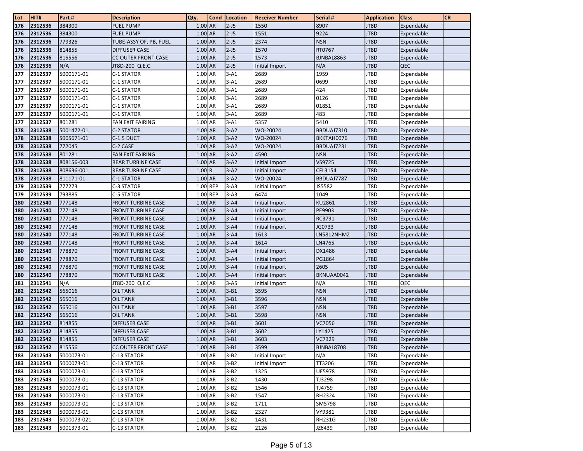| Lot        | HIT#               | Part#            | <b>Description</b>                              | Qty.               | <b>Cond</b> | Location             | <b>Receiver Number</b>           | Serial #         | <b>Application</b> | <b>Class</b>             | <b>CR</b> |
|------------|--------------------|------------------|-------------------------------------------------|--------------------|-------------|----------------------|----------------------------------|------------------|--------------------|--------------------------|-----------|
| 176        | 2312536            | 384300           | <b>FUEL PUMP</b>                                | $1.00$ AR          |             | $2-J5$               | 1550                             | 8907             | JT8D               | Expendable               |           |
| 176        | 2312536            | 384300           | <b>FUEL PUMP</b>                                | 1.00 AR            |             | $2-J5$               | 1551                             | 9224             | JT8D               | Expendable               |           |
| 176        | 2312536            | 779326           | TUBE-ASSY OF, PB, FUEL                          | 1.00 AR            |             | $2-J5$               | 2374                             | <b>NSN</b>       | JT8D               | Expendable               |           |
| 176        | 2312536            | 814855           | <b>DIFFUSER CASE</b>                            | 1.00 AR            |             | $2-J5$               | 1570                             | RT0767           | JT8D               | Expendable               |           |
| 176        | 2312536            | 815556           | <b>CC OUTER FRONT CASE</b>                      | 1.00 AR            |             | $2-J5$               | 1573                             | BJNBAL8863       | JT8D               | Expendable               |           |
| 176        | 2312536            | N/A              | JT8D-200 Q.E.C                                  | 1.00 AR            |             | $2-J5$               | Initial Import                   | N/A              | JT8D               | QEC                      |           |
| 177        | 2312537            | 5000171-01       | C-1 STATOR                                      | $1.00$ AR          |             | $3 - A1$             | 2689                             | 1959             | JT8D               | Expendable               |           |
| 177        | 2312537            | 5000171-01       | C-1 STATOR                                      | 1.00 AR            |             | $3-A1$               | 2689                             | 0699             | JT8D               | Expendable               |           |
| 177        | 2312537            | 5000171-01       | C-1 STATOR                                      | 0.00 AR            |             | $3-A1$               | 2689                             | 424              | JT8D               | Expendable               |           |
| 177        | 2312537            | 5000171-01       | C-1 STATOR                                      | 1.00 AR            |             | $3-A1$               | 2689                             | 0126             | JT8D               | Expendable               |           |
| 177        | 2312537            | 5000171-01       | C-1 STATOR                                      | 1.00 AR            |             | $3-A1$               | 2689                             | 01851            | JT8D               | Expendable               |           |
| 177        | 2312537            | 5000171-01       | C-1 STATOR                                      | 1.00 AR            |             | $3-A1$               | 2689                             | 483              | JT8D               | Expendable               |           |
| 177        | 2312537            | 801281           | FAN EXIT FAIRING                                | 1.00 AR            |             | $3-A1$               | 5357                             | 5410             | JT8D               | Expendable               |           |
| 178        | 2312538            | 5001472-01       | C-2 STATOR                                      | 1.00 AR            |             | $3 - A2$             | WO-20024                         | BBDUAJ7310       | JT8D               | Expendable               |           |
| 178        | 2312538            | 5005671-01       | C-1.5 DUCT                                      | 1.00 AR            |             | $3-A2$               | WO-20024                         | BKKTAH0076       | JT8D               | Expendable               |           |
| 178        | 2312538            | 772045           | C-2 CASE                                        | 1.00 AR            |             | $3-A2$               | WO-20024                         | BBDUAJ7231       | JT8D               | Expendable               |           |
| 178        | 2312538            | 801281           | FAN EXIT FAIRING                                | 1.00 AR            |             | $3 - A2$             | 4590                             | <b>NSN</b>       | JT8D               | Expendable               |           |
| 178        | 2312538            | 808156-003       | <b>REAR TURBINE CASE</b>                        | $1.00$ AR          |             | $3 - A2$             | Initial Import                   | VS9725           | JT8D               | Expendable               |           |
| 178        | 2312538            | 808636-001       | <b>REAR TURBINE CASE</b>                        | 1.00R              |             | $3-A2$               | Initial Import                   | CFL3154          | JT8D               | Expendable               |           |
| 178        | 2312538            | 811171-01        | C-1 STATOR                                      | 1.00 AR            |             | $3-A2$               | WO-20024                         | BBDUAJ7787       | JT8D               | Expendable               |           |
| 179        | 2312539            | 777273           | C-3 STATOR                                      | 1.00 REP           |             | $3-A3$               | Initial Import                   | JS5582           | JT8D               | Expendable               |           |
| 179        | 2312539            | 793885           | C-5 STATOR                                      | 1.00 REP           |             | $3-A3$               | 6474                             | 1049             | JT8D               | Expendable               |           |
| 180        | 2312540            | 777148           | <b>FRONT TURBINE CASE</b>                       | 1.00 AR            |             | $3 - A4$             | Initial Import                   | KU2861           | JT8D               | Expendable               |           |
| 180        | 2312540            | 777148           | <b>FRONT TURBINE CASE</b>                       | 1.00 AR            |             | $3 - A4$             | <b>Initial Import</b>            | PE9903           | JT8D               | Expendable               |           |
| 180        | 2312540            | 777148           | <b>FRONT TURBINE CASE</b>                       | 1.00 AR<br>1.00 AR |             | $3 - A4$             | Initial Import                   | RC3791           | JT8D               | Expendable               |           |
| 180        | 2312540            | 777148           | <b>FRONT TURBINE CASE</b>                       | 1.00 AR            |             | $3 - A4$             | Initial Import                   | JG0733           | JT8D               | Expendable               |           |
| 180        | 2312540            | 777148<br>777148 | <b>FRONT TURBINE CASE</b>                       | 1.00 AR            |             | $3 - A4$             | 1613<br>1614                     | LN5812NHMZ       | JT8D<br>JT8D       | Expendable               |           |
| 180        | 2312540<br>2312540 | 778870           | FRONT TURBINE CASE<br><b>FRONT TURBINE CASE</b> | 1.00 AR            |             | $3 - A4$<br>$3 - A4$ |                                  | LN4765           | JT8D               | Expendable               |           |
| 180<br>180 | 2312540            | 778870           | <b>FRONT TURBINE CASE</b>                       | 1.00 AR            |             | $3 - A4$             | Initial Import<br>Initial Import | DX1486<br>PG1864 | JT8D               | Expendable<br>Expendable |           |
| 180        | 2312540            | 778870           | <b>FRONT TURBINE CASE</b>                       | 1.00 AR            |             | $3 - A4$             | Initial Import                   | 2605             | JT8D               | Expendable               |           |
| 180        | 2312540            | 778870           | <b>FRONT TURBINE CASE</b>                       | $1.00$ AR          |             | $3 - A4$             | Initial Import                   | BKNUAA0042       | JT8D               | Expendable               |           |
| 181        | 2312541            | N/A              | JT8D-200 Q.E.C                                  | 1.00 AR            |             | $3 - A5$             | Initial Import                   | N/A              | JT8D               | QEC                      |           |
| 182        | 2312542            | 565016           | <b>OIL TANK</b>                                 | 1.00 AR            |             | $3 - B1$             | 3595                             | <b>NSN</b>       | JT8D               | Expendable               |           |
| 182        | 2312542            | 565016           | <b>OIL TANK</b>                                 | 1.00 AR            |             | $3 - B1$             | 3596                             | <b>NSN</b>       | JT8D               | Expendable               |           |
| 182        | 2312542            | 565016           | <b>OIL TANK</b>                                 | 1.00 AR            |             | $3 - B1$             | 3597                             | <b>NSN</b>       | JT8D               | Expendable               |           |
| 182        | 2312542            | 565016           | <b>OIL TANK</b>                                 | 1.00 AR            |             | $3 - B1$             | 3598                             | <b>NSN</b>       | JT8D               | Expendable               |           |
| 182        | 2312542            | 814855           | <b>DIFFUSER CASE</b>                            | 1.00 AR            |             | $3 - B1$             | 3601                             | VC7056           | JT8D               | Expendable               |           |
| 182        | 2312542            | 814855           | DIFFUSER CASE                                   | 1.00 AR            |             | $3 - B1$             | 3602                             | LY1425           | JT8D               | Expendable               |           |
| 182        | 2312542            | 814855           | <b>DIFFUSER CASE</b>                            | 1.00 AR            |             | $3 - B1$             | 3603                             | <b>VC7329</b>    | JT8D               | Expendable               |           |
| 182        | 2312542            | 815556           | CC OUTER FRONT CASE                             | 1.00 AR            |             | $3 - B1$             | 3599                             | BJNBAL8708       | JT8D               | Expendable               |           |
| 183        | 2312543            | 5000073-01       | C-13 STATOR                                     | 1.00 AR            |             | $3-B2$               | Initial Import                   | N/A              | JT8D               | Expendable               |           |
| 183        | 2312543            | 5000073-01       | C-13 STATOR                                     | 1.00 AR            |             | $3 - B2$             | Initial Import                   | TT3206           | JT8D               | Expendable               |           |
| 183        | 2312543            | 5000073-01       | C-13 STATOR                                     | 1.00 AR            |             | $3 - B2$             | 1325                             | UE5978           | JT8D               | Expendable               |           |
| 183        | 2312543            | 5000073-01       | C-13 STATOR                                     | 1.00 AR            |             | $3 - B2$             | 1430                             | TJ3298           | JT8D               | Expendable               |           |
| 183        | 2312543            | 5000073-01       | C-13 STATOR                                     | 1.00 AR            |             | $3-B2$               | 1546                             | TJ4759           | JT8D               | Expendable               |           |
| 183        | 2312543            | 5000073-01       | C-13 STATOR                                     | 1.00 AR            |             | $3-B2$               | 1547                             | RH2324           | JT8D               | Expendable               |           |
| 183        | 2312543            | 5000073-01       | C-13 STATOR                                     | 1.00 AR            |             | $3 - B2$             | 1711                             | SM5798           | JT8D               | Expendable               |           |
| 183        | 2312543            | 5000073-01       | C-13 STATOR                                     | 1.00 AR            |             | $3 - B2$             | 2327                             | VY9381           | JT8D               | Expendable               |           |
| 183        | 2312543            | 5000073-021      | C-13 STATOR                                     | 1.00 AR            |             | $3-B2$               | 1431                             | <b>RH231G</b>    | JT8D               | Expendable               |           |
| 183        | 2312543            | 5001373-01       | C-13 STATOR                                     | 1.00 AR            |             | $3-B2$               | 2126                             | JZ6439           | JT8D               | Expendable               |           |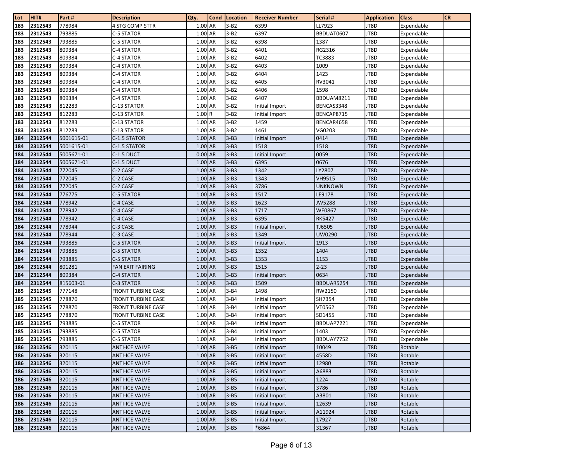| Lot        | HIT#               | Part #           | <b>Description</b>        | Qty.                 | Cond | Location         | <b>Receiver Number</b> | Serial #         | <b>Application</b> | <b>Class</b>             | <b>CR</b> |
|------------|--------------------|------------------|---------------------------|----------------------|------|------------------|------------------------|------------------|--------------------|--------------------------|-----------|
| 183        | 2312543            | 778984           | 4 STG COMP STTR           | 1.00 AR              |      | $3 - B2$         | 6399                   | LL7923           | JT8D               | Expendable               |           |
| 183        | 2312543            | 793885           | C-5 STATOR                | 1.00 AR              |      | $3 - B2$         | 6397                   | BBDUAT0607       | JT8D               | Expendable               |           |
| 183        | 2312543            | 793885           | C-5 STATOR                | 1.00 AR              |      | $3 - B2$         | 6398                   | 1387             | JT8D               | Expendable               |           |
| 183        | 2312543            | 809384           | C-4 STATOR                | 1.00 AR              |      | $3 - B2$         | 6401                   | RG2316           | JT8D               | Expendable               |           |
| 183        | 2312543            | 809384           | C-4 STATOR                | 1.00 AR              |      | $3 - B2$         | 6402                   | TC3883           | JT8D               | Expendable               |           |
| 183        | 2312543            | 809384           | C-4 STATOR                | 1.00 AR              |      | $3 - B2$         | 6403                   | 1009             | JT8D               | Expendable               |           |
| 183        | 2312543            | 809384           | C-4 STATOR                | $1.00$ AR            |      | $3-B2$           | 6404                   | 1423             | JT8D               | Expendable               |           |
| 183        | 2312543            | 809384           | C-4 STATOR                | 1.00 AR              |      | $3 - B2$         | 6405                   | RV3041           | JT8D               | Expendable               |           |
| 183        | 2312543            | 809384           | C-4 STATOR                | $1.00$ AR            |      | $3 - B2$         | 6406                   | 1598             | JT8D               | Expendable               |           |
| 183        | 2312543            | 809384           | C-4 STATOR                | 1.00 AR              |      | $3 - B2$         | 6407                   | BBDUAM8211       | JT8D               | Expendable               |           |
| 183        | 2312543            | 812283           | C-13 STATOR               | 1.00 AR              |      | $3 - B2$         | Initial Import         | BENCAS3348       | JT8D               | Expendable               |           |
| 183        | 2312543            | 812283           | C-13 STATOR               | 1.00R                |      | $3-B2$           | Initial Import         | BENCAP8715       | JT8D               | Expendable               |           |
| 183        | 2312543            | 812283           | C-13 STATOR               | 1.00 AR              |      | $3-B2$           | 1459                   | BENCAR4658       | JT8D               | Expendable               |           |
| 183        | 2312543            | 812283           | C-13 STATOR               | 1.00 AR              |      | $3-B2$           | 1461                   | VG0203           | JT8D               | Expendable               |           |
| 184        | 2312544            | 5001615-01       | C-1.5 STATOR              | 1.00 AR              |      | $3-B3$           | Initial Import         | 0414             | JT8D               | Expendable               |           |
| 184        | 2312544            | 5001615-01       | C-1.5 STATOR              | 1.00 AR              |      | $3-B3$           | 1518                   | 1518             | JT8D               | Expendable               |           |
| 184        | 2312544            | 5005671-01       | C-1.5 DUCT                | $0.00$ AR            |      | $3 - B3$         | Initial Import         | 0059             | JT8D               | Expendable               |           |
| 184        | 2312544            | 5005671-01       | C-1.5 DUCT                | $1.00$ AR            |      | $3 - B3$         | 6395                   | 0676             | JT8D               | Expendable               |           |
| 184        | 2312544            | 772045           | C-2 CASE                  | 1.00 AR              |      | $3-B3$           | 1342                   | LY2807           | JT8D               | Expendable               |           |
| 184        | 2312544            | 772045           | C-2 CASE                  | 1.00 AR              |      | $3-B3$           | 1343                   | <b>VH9515</b>    | JT8D               | Expendable               |           |
| 184        | 2312544            | 772045           | C-2 CASE                  | 1.00 AR              |      | $3-B3$           | 3786                   | UNKNOWN          | JT8D               | Expendable               |           |
| 184        | 2312544            | 776775           | C-5 STATOR                | 1.00 AR              |      | $3-B3$           | 1517                   | LE9178           | JT8D               | Expendable               |           |
| 184        | 2312544            | 778942           | C-4 CASE                  | 1.00 AR              |      | $3-B3$           | 1623                   | JW5288           | JT8D               | Expendable               |           |
| 184        | 2312544            | 778942           | C-4 CASE                  | 1.00 AR              |      | $3-B3$           | 1717                   | WE0867           | JT8D               | Expendable               |           |
| 184        | 2312544            | 778942           | C-4 CASE                  | 1.00 AR              |      | $3-B3$           | 6395                   | <b>RK5427</b>    | JT8D               | Expendable               |           |
| 184        | 2312544            | 778944           | C-3 CASE                  | $1.00$ AR            |      | $3-B3$           | Initial Import         | TJ6505           | JT8D               | Expendable               |           |
| 184        | 2312544            | 778944           | C-3 CASE                  | 1.00 AR              |      | $3-B3$           | 1349                   | UW0290           | JT8D               | Expendable               |           |
| 184        | 2312544            | 793885           | C-5 STATOR                | 1.00 AR              |      | $3 - B3$         | Initial Import         | 1913             | JT8D               | Expendable               |           |
| 184        | 2312544            | 793885           | C-5 STATOR                | 1.00 AR              |      | $3-B3$           | 1352                   | 1404             | JT8D               | Expendable               |           |
| 184        | 2312544            | 793885           | C-5 STATOR                | 1.00 AR              |      | $3-B3$           | 1353                   | 1153             | JT8D               | Expendable               |           |
| 184<br>184 | 2312544<br>2312544 | 801281<br>809384 | <b>FAN EXIT FAIRING</b>   | 1.00 AR<br>$1.00$ AR |      | $3-B3$<br>$3-B3$ | 1515                   | $2 - 23$<br>0634 | JT8D<br>JT8D       | Expendable               |           |
| 184        | 2312544            | 815603-01        | C-4 STATOR<br>C-3 STATOR  | $1.00$ AR            |      | $3-B3$           | Initial Import<br>1509 | BBDUAR5254       | JT8D               | Expendable<br>Expendable |           |
| 185        | 2312545            | 777148           | FRONT TURBINE CASE        | 1.00 AR              |      | $3 - B4$         | 1498                   | RW2150           | JT8D               | Expendable               |           |
| 185        | 2312545            | 778870           | <b>FRONT TURBINE CASE</b> | 1.00 AR              |      | $3 - B4$         | Initial Import         | SH7354           | JT8D               | Expendable               |           |
| 185        | 2312545            | 778870           | <b>FRONT TURBINE CASE</b> | 1.00 AR              |      | $3 - B4$         | Initial Import         | VT0562           | JT8D               | Expendable               |           |
| 185        | 2312545            | 778870           | FRONT TURBINE CASE        | 1.00 AR              |      | $3 - B4$         | Initial Import         | SD1455           | JT8D               | Expendable               |           |
| 185        | 2312545            | 793885           | C-5 STATOR                | 1.00 AR              |      | $3 - B4$         | Initial Import         | BBDUAP7221       | JT8D               | Expendable               |           |
| 185        | 2312545            | 793885           | C-5 STATOR                | 1.00 AR              |      | $3 - B4$         | Initial Import         | 1403             | JT8D               | Expendable               |           |
| 185        | 2312545            | 793885           | C-5 STATOR                | 1.00 AR              |      | $3 - B4$         | Initial Import         | BBDUAY7752       | JT8D               | Expendable               |           |
| 186        | 2312546            | 320115           | <b>ANTI-ICE VALVE</b>     | 1.00 AR              |      | $3 - B5$         | Initial Import         | 10049            | JT8D               | Rotable                  |           |
| 186        | 2312546            | 320115           | <b>ANTI-ICE VALVE</b>     | 1.00 AR              |      | $3 - B5$         | <b>Initial Import</b>  | 4558D            | JT8D               | Rotable                  |           |
| 186        | 2312546            | 320115           | <b>ANTI-ICE VALVE</b>     | 1.00 AR              |      | $3 - B5$         | Initial Import         | 12980            | JT8D               | Rotable                  |           |
| 186        | 2312546            | 320115           | <b>ANTI-ICE VALVE</b>     | 1.00 AR              |      | $3 - B5$         | Initial Import         | A6883            | JT8D               | Rotable                  |           |
| 186        | 2312546            | 320115           | <b>ANTI-ICE VALVE</b>     | 1.00 AR              |      | $3 - B5$         | Initial Import         | 1224             | JT8D               | Rotable                  |           |
| 186        | 2312546            | 320115           | <b>ANTI-ICE VALVE</b>     | 1.00 AR              |      | $3 - B5$         | Initial Import         | 3786             | JT8D               | Rotable                  |           |
| 186        | 2312546            | 320115           | <b>ANTI-ICE VALVE</b>     | 1.00 AR              |      | $3 - B5$         | Initial Import         | A3801            | JT8D               | Rotable                  |           |
| 186        | 2312546            | 320115           | <b>ANTI-ICE VALVE</b>     | 1.00 AR              |      | $3 - B5$         | Initial Import         | 12639            | JT8D               | Rotable                  |           |
| 186        | 2312546            | 320115           | <b>ANTI-ICE VALVE</b>     | 1.00 AR              |      | $3 - B5$         | Initial Import         | A11924           | JT8D               | Rotable                  |           |
| 186        | 2312546            | 320115           | <b>ANTI-ICE VALVE</b>     | 1.00 AR              |      | $3 - B5$         | Initial Import         | 17927            | JT8D               | Rotable                  |           |
| 186        | 2312546            | 320115           | <b>ANTI-ICE VALVE</b>     | 1.00 AR              |      | $3 - B5$         | \$6864                 | 31367            | JT8D               | Rotable                  |           |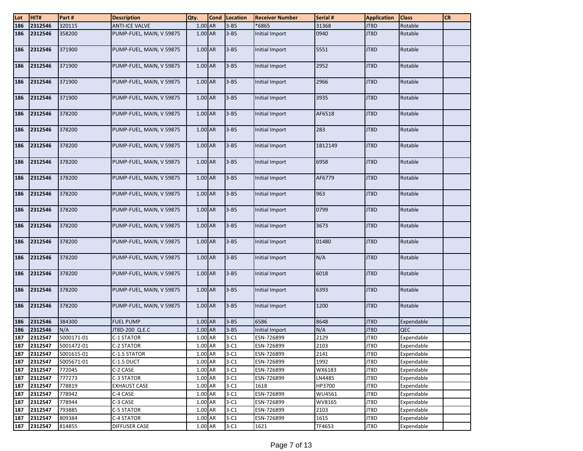| Lot        | HIT#               | Part#            | <b>Description</b>       | Qty.               | <b>Cond</b> | Location         | <b>Receiver Number</b>   | Serial #         | <b>Application</b> | <b>Class</b>             | <b>CR</b> |
|------------|--------------------|------------------|--------------------------|--------------------|-------------|------------------|--------------------------|------------------|--------------------|--------------------------|-----------|
| 186        | 2312546            | 320115           | <b>ANTI-ICE VALVE</b>    | 1.00 AR            |             | $3 - B5$         | *6865                    | 31368            | JT8D               | Rotable                  |           |
| 186        | 2312546            | 358200           | PUMP-FUEL, MAIN, V 59875 | 1.00 AR            |             | $3 - B5$         | Initial Import           | 0940             | JT8D               | Rotable                  |           |
| 186        | 2312546            | 371900           | PUMP-FUEL, MAIN, V 59875 | 1.00 AR            |             | $3 - B5$         | Initial Import           | 5551             | JT8D               | Rotable                  |           |
| 186        | 2312546            | 371900           | PUMP-FUEL, MAIN, V 59875 | 1.00 AR            |             | $3 - B5$         | Initial Import           | 2952             | JT8D               | Rotable                  |           |
| 186        | 2312546            | 371900           | PUMP-FUEL, MAIN, V 59875 | 1.00 AR            |             | $3 - B5$         | Initial Import           | 2966             | JT8D               | Rotable                  |           |
| 186        | 2312546            | 371900           | PUMP-FUEL, MAIN, V 59875 | 1.00 AR            |             | $3 - B5$         | Initial Import           | 3935             | JT8D               | Rotable                  |           |
| 186        | 2312546            | 378200           | PUMP-FUEL, MAIN, V 59875 | $1.00$ AR          |             | $3 - B5$         | Initial Import           | AF6518           | JT8D               | Rotable                  |           |
| 186        | 2312546            | 378200           | PUMP-FUEL, MAIN, V 59875 | 1.00 AR            |             | $3 - B5$         | Initial Import           | 283              | JT8D               | Rotable                  |           |
| 186        | 2312546            | 378200           | PUMP-FUEL, MAIN, V 59875 | 1.00 AR            |             | $3 - B5$         | Initial Import           | 1B12149          | JT8D               | Rotable                  |           |
| 186        | 2312546            | 378200           | PUMP-FUEL, MAIN, V 59875 | 1.00 AR            |             | $3 - B5$         | Initial Import           | 6958             | JT8D               | Rotable                  |           |
| 186        | 2312546            | 378200           | PUMP-FUEL, MAIN, V 59875 | 1.00 AR            |             | $3 - B5$         | Initial Import           | AF6779           | JT8D               | Rotable                  |           |
| 186        | 2312546            | 378200           | PUMP-FUEL, MAIN, V 59875 | 1.00 AR            |             | $3 - B5$         | Initial Import           | 963              | JT8D               | Rotable                  |           |
| 186        | 2312546            | 378200           | PUMP-FUEL, MAIN, V 59875 | 1.00 AR            |             | $3 - B5$         | Initial Import           | 0799             | JT8D               | Rotable                  |           |
| 186        | 2312546            | 378200           | PUMP-FUEL, MAIN, V 59875 | 1.00 AR            |             | $3 - B5$         | Initial Import           | 3673             | JT8D               | Rotable                  |           |
| 186        | 2312546            | 378200           | PUMP-FUEL, MAIN, V 59875 | 1.00 AR            |             | $3 - B5$         | Initial Import           | 01480            | JT8D               | Rotable                  |           |
| 186        | 2312546            | 378200           | PUMP-FUEL, MAIN, V 59875 | 1.00 AR            |             | $3 - B5$         | Initial Import           | N/A              | JT8D               | Rotable                  |           |
| 186        | 2312546            | 378200           | PUMP-FUEL, MAIN, V 59875 | 1.00 AR            |             | $3 - B5$         | Initial Import           | 6018             | JT8D               | Rotable                  |           |
| 186        | 2312546            | 378200           | PUMP-FUEL, MAIN, V 59875 | 1.00 AR            |             | $3 - B5$         | Initial Import           | 6393             | JT8D               | Rotable                  |           |
| 186        | 2312546            | 378200           | PUMP-FUEL, MAIN, V 59875 | 1.00 AR            |             | $3 - B5$         | Initial Import           | 1200             | JT8D               | Rotable                  |           |
| 186        | 2312546            | 384300           | <b>FUEL PUMP</b>         | 1.00 AR            |             | $3 - B5$         | 6586                     | 8648             | JT8D               | Expendable               |           |
| 186        | 2312546            | N/A              | JT8D-200 Q.E.C           | 1.00 AR            |             | $3 - B5$         | Initial Import           | N/A              | JT8D               | QEC                      |           |
| 187        | 2312547            | 5000171-01       | C-1 STATOR               | 1.00 AR            |             | $3-C1$           | ESN-726899               | 2129             | JT8D               | Expendable               |           |
|            | 187 2312547        | 5001472-01       | C-2 STATOR               | 1.00 AR            |             | $3-C1$           | ESN-726899               | 2103             | JT8D               | Expendable               |           |
| 187        | 2312547            | 5001615-01       | C-1.5 STATOR             | 1.00 AR            |             | $3-C1$           | ESN-726899               | 2141             | JT8D               | Expendable               |           |
| 187        | 2312547            | 5005671-01       | C-1.5 DUCT               | 1.00 AR            |             | $3-C1$           | ESN-726899               | 1992             | JT8D               | Expendable               |           |
| 187        | 2312547            | 772045           | C-2 CASE                 | 1.00 AR            |             | $3-C1$           | ESN-726899               | WX6183           | JT8D               | Expendable               |           |
| 187<br>187 | 2312547            | 777273           | C-3 STATOR               | 1.00 AR            |             | $3-C1$           | ESN-726899               | LN4485           | JT8D               | Expendable               |           |
|            | 2312547            | 778819           | <b>EXHAUST CASE</b>      | 1.00 AR            |             | $3-C1$           | 1618                     | HP3700           | JT8D               | Expendable               |           |
| 187<br>187 | 2312547            | 778942           | C-4 CASE<br>C-3 CASE     | 1.00 AR<br>1.00 AR |             | $3-C1$<br>$3-C1$ | ESN-726899<br>ESN-726899 | WU4561<br>WV8165 | JT8D<br>JT8D       | Expendable               |           |
| 187        | 2312547<br>2312547 | 778944<br>793885 | <b>C-5 STATOR</b>        | 1.00 AR            |             | $3-C1$           | ESN-726899               | 2103             | JT8D               | Expendable<br>Expendable |           |
| 187        | 2312547            | 809384           | C-4 STATOR               | 1.00 AR            |             | $3-C1$           | ESN-726899               | 1615             | JT8D               | Expendable               |           |
| 187        | 2312547            | 814855           | DIFFUSER CASE            | 1.00 AR            |             | $3-C1$           | 1621                     | TF4653           | JT8D               | Expendable               |           |
|            |                    |                  |                          |                    |             |                  |                          |                  |                    |                          |           |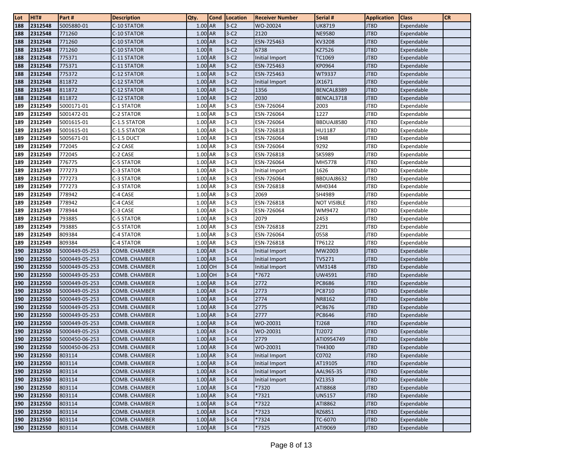| Lot | HIT#    | Part #         | <b>Description</b>   | Qty.      | <b>Cond</b> | Location         | <b>Receiver Number</b> | Serial #           | <b>Application</b> | <b>Class</b> | <b>CR</b> |
|-----|---------|----------------|----------------------|-----------|-------------|------------------|------------------------|--------------------|--------------------|--------------|-----------|
| 188 | 2312548 | 5005880-01     | C-10 STATOR          | 1.00 AR   |             | $3-C2$           | WO-20024               | UK8719             | JT8D               | Expendable   |           |
| 188 | 2312548 | 771260         | C-10 STATOR          | 1.00 AR   |             | $3-C2$           | 2120                   | <b>NE9580</b>      | JT8D               | Expendable   |           |
| 188 | 2312548 | 771260         | C-10 STATOR          | 1.00 AR   |             | $3-C2$           | ESN-725463             | KV3208             | JT8D               | Expendable   |           |
| 188 | 2312548 | 771260         | C-10 STATOR          | 1.00R     |             | $3-C2$           | 6738                   | KZ7526             | JT8D               | Expendable   |           |
| 188 | 2312548 | 775371         | C-11 STATOR          | 1.00 AR   |             | $3-C2$           | Initial Import         | TC1069             | JT8D               | Expendable   |           |
| 188 | 2312548 | 775371         | C-11 STATOR          | 1.00 AR   |             | $3-C2$           | ESN-725463             | KP0964             | JT8D               | Expendable   |           |
| 188 | 2312548 | 775372         | C-12 STATOR          | 1.00 AR   |             | $3-C2$           | ESN-725463             | WT9337             | JT8D               | Expendable   |           |
| 188 | 2312548 | 811872         | C-12 STATOR          | 1.00 AR   |             | $3-C2$           | Initial Import         | JX1671             | JT8D               | Expendable   |           |
| 188 | 2312548 | 811872         | C-12 STATOR          | 1.00 AR   |             | $3-C2$           | 1356                   | BENCAL8389         | JT8D               | Expendable   |           |
| 188 | 2312548 | 811872         | C-12 STATOR          | 1.00 AR   |             | $3-C2$           | 2030                   | BENCAL3718         | JT8D               | Expendable   |           |
| 189 | 2312549 | 5000171-01     | C-1 STATOR           | 1.00 AR   |             | $3-C3$           | ESN-726064             | 2003               | JT8D               | Expendable   |           |
| 189 | 2312549 | 5001472-01     | C-2 STATOR           | 1.00 AR   |             | $3-C3$           | ESN-726064             | 1227               | JT8D               | Expendable   |           |
| 189 | 2312549 | 5001615-01     | C-1.5 STATOR         | 1.00 AR   |             | $3-C3$           | ESN-726064             | <b>BBDUAJ8580</b>  | JT8D               | Expendable   |           |
| 189 | 2312549 | 5001615-01     | C-1.5 STATOR         | 1.00 AR   |             | $3-C3$           | ESN-726818             | HU1187             | JT8D               | Expendable   |           |
| 189 | 2312549 | 5005671-01     | C-1.5 DUCT           | 1.00 AR   |             | $3-C3$           | ESN-726064             | 1948               | JT8D               | Expendable   |           |
| 189 | 2312549 | 772045         | C-2 CASE             | 1.00 AR   |             | $3-C3$           | ESN-726064             | 9292               | JT8D               | Expendable   |           |
| 189 | 2312549 | 772045         | C-2 CASE             | 1.00 AR   |             | $3-C3$           | ESN-726818             | SK5989             | JT8D               | Expendable   |           |
| 189 | 2312549 | 776775         | C-5 STATOR           | 1.00 AR   |             | $3-C3$           | ESN-726064             | MH5778             | JT8D               | Expendable   |           |
| 189 | 2312549 | 777273         | C-3 STATOR           | 1.00 AR   |             | $3-C3$           | Initial Import         | 1626               | JT8D               | Expendable   |           |
| 189 | 2312549 | 777273         | C-3 STATOR           | 1.00 AR   |             | $3-C3$           | ESN-726064             | BBDUAJ8632         | JT8D               | Expendable   |           |
| 189 | 2312549 | 777273         | C-3 STATOR           | 1.00 AR   |             | $3-C3$           | ESN-726818             | MH0344             | JT8D               | Expendable   |           |
| 189 | 2312549 | 778942         | C-4 CASE             | 1.00 AR   |             | $3-C3$           | 2069                   | SH4989             | JT8D               | Expendable   |           |
| 189 | 2312549 | 778942         | C-4 CASE             | 1.00 AR   |             | $3-C3$           | ESN-726818             | <b>NOT VISIBLE</b> | JT8D               | Expendable   |           |
| 189 | 2312549 | 778944         | C-3 CASE             | 1.00 AR   |             | $3-C3$           | ESN-726064             | WM9472             | JT8D               | Expendable   |           |
| 189 | 2312549 | 793885         | <b>C-5 STATOR</b>    | 1.00 AR   |             | $3-C3$           | 2079                   | 2453               | JT8D               | Expendable   |           |
| 189 | 2312549 | 793885         | C-5 STATOR           | 1.00 AR   |             | $3-C3$           | ESN-726818             | 2291               | JT8D               | Expendable   |           |
| 189 | 2312549 | 809384         | C-4 STATOR           | 1.00 AR   |             | $3-C3$           | ESN-726064             | 0558               | JT8D               | Expendable   |           |
| 189 | 2312549 | 809384         | C-4 STATOR           | 1.00 AR   |             | $3-C3$           | ESN-726818             | TP6122             | JT8D               | Expendable   |           |
| 190 | 2312550 | 5000449-05-253 | COMB. CHAMBER        | 1.00 AR   |             | $3-C4$           | Initial Import         | MW2003             | JT8D               | Expendable   |           |
| 190 | 2312550 | 5000449-05-253 | COMB. CHAMBER        | 1.00 AR   |             | $3-C4$           | Initial Import         | TV5271             | JT8D               | Expendable   |           |
| 190 | 2312550 | 5000449-05-253 | COMB. CHAMBER        | 1.00 OH   |             | $3-C4$           | Initial Import         | VM3148             | JT8D               | Expendable   |           |
| 190 | 2312550 | 5000449-05-253 | COMB. CHAMBER        | 1.00 OH   |             | $3-C4$           | *7672                  | UW4591             | JT8D               | Expendable   |           |
| 190 | 2312550 | 5000449-05-253 | COMB. CHAMBER        | 1.00 AR   |             | $3-C4$           | 2772                   | PC8686             | JT8D               | Expendable   |           |
| 190 | 2312550 | 5000449-05-253 | COMB. CHAMBER        | 1.00 AR   |             | $3-C4$           | 2773                   | PC8710             | JT8D               | Expendable   |           |
| 190 | 2312550 | 5000449-05-253 | COMB. CHAMBER        | 1.00 AR   |             | $3-C4$           | 2774                   | NR8162             | JT8D               | Expendable   |           |
| 190 | 2312550 | 5000449-05-253 | COMB. CHAMBER        | $1.00$ AR |             | $3-C4$           | 2775                   | PC8676             | JT8D               | Expendable   |           |
| 190 | 2312550 | 5000449-05-253 | COMB. CHAMBER        | 1.00 AR   |             | $3-C4$           | 2777                   | PC8646             | JT8D               | Expendable   |           |
| 190 | 2312550 | 5000449-05-253 | COMB. CHAMBER        | 1.00 AR   |             | $3-C4$           | WO-20031               | TJ268              | JT8D               | Expendable   |           |
| 190 | 2312550 | 5000449-05-253 | COMB. CHAMBER        | 1.00 AR   |             | $3-C4$           | WO-20031               | TJ2072             | JT8D               | Expendable   |           |
| 190 | 2312550 | 5000450-06-253 | COMB. CHAMBER        | 1.00 AR   |             | $3-C4$           | 2779                   | ATI0954749         | JT8D               | Expendable   |           |
| 190 | 2312550 | 5000450-06-253 | <b>COMB. CHAMBER</b> | 1.00 AR   |             | $3-C4$           | WO-20031               | TH4300             | JT8D               | Expendable   |           |
| 190 | 2312550 | 803114         | COMB. CHAMBER        | 1.00 AR   |             | $3-C4$           | Initial Import         | C0702              | JT8D               | Expendable   |           |
| 190 | 2312550 | 803114         | COMB. CHAMBER        | 1.00 AR   |             | $3-C4$           | Initial Import         | AT19105            | JT8D               | Expendable   |           |
| 190 | 2312550 | 803114         | COMB. CHAMBER        | 1.00 AR   |             | $3-C4$           | Initial Import         | AAL965-35          | JT8D               | Expendable   |           |
| 190 | 2312550 | 803114         | COMB. CHAMBER        | 1.00 AR   |             | $3-C4$           | Initial Import         | VZ1353             | JT8D               | Expendable   |           |
| 190 | 2312550 | 803114         | COMB. CHAMBER        | 1.00 AR   |             | $3-C4$           | *7320                  | ATI8868            | JT8D               | Expendable   |           |
| 190 | 2312550 | 803114         | COMB. CHAMBER        | 1.00 AR   |             | $3-C4$           | *7321                  | <b>UN5157</b>      | JT8D               | Expendable   |           |
| 190 | 2312550 | 803114         | COMB. CHAMBER        | 1.00 AR   |             | $3-C4$           | *7322                  | ATI8862            | JT8D               | Expendable   |           |
| 190 | 2312550 | 803114         | COMB. CHAMBER        | 1.00 AR   |             | $3-C4$<br>$3-C4$ | *7323                  | RZ6851             | JT8D               | Expendable   |           |
| 190 | 2312550 | 803114         | COMB. CHAMBER        | 1.00 AR   |             |                  | *7324                  | TC-6070            | JT8D               | Expendable   |           |
| 190 | 2312550 | 803114         | COMB. CHAMBER        | 1.00 AR   |             | $3-C4$           | *7325                  | ATI9069            | JT8D               | Expendable   |           |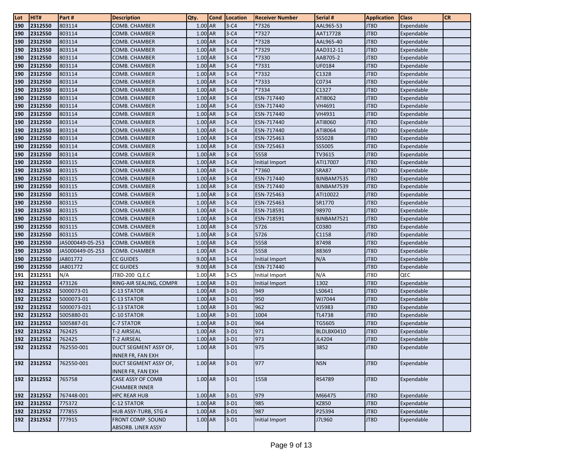| Lot | HIT#        | Part #           | <b>Description</b>                      | Qty.      | <b>Cond</b> | Location | <b>Receiver Number</b> | Serial #      | <b>Application</b> | <b>Class</b> | <b>CR</b> |
|-----|-------------|------------------|-----------------------------------------|-----------|-------------|----------|------------------------|---------------|--------------------|--------------|-----------|
| 190 | 2312550     | 803114           | COMB. CHAMBER                           | $1.00$ AR |             | $3-C4$   | *7326                  | AAL965-53     | JT8D               | Expendable   |           |
| 190 | 2312550     | 803114           | COMB. CHAMBER                           | $1.00$ AR |             | $3-C4$   | *7327                  | AAT17728      | JT8D               | Expendable   |           |
| 190 | 2312550     | 803114           | COMB. CHAMBER                           | 1.00 AR   |             | $3-C4$   | *7328                  | AAL965-40     | JT8D               | Expendable   |           |
| 190 | 2312550     | 803114           | COMB. CHAMBER                           | 1.00 AR   |             | $3-C4$   | *7329                  | AAD312-11     | JT8D               | Expendable   |           |
| 190 | 2312550     | 803114           | COMB. CHAMBER                           | 1.00 AR   |             | $3-C4$   | *7330                  | AAB705-2      | JT8D               | Expendable   |           |
| 190 | 2312550     | 803114           | COMB. CHAMBER                           | 1.00 AR   |             | $3-C4$   | *7331                  | UF0184        | JT8D               | Expendable   |           |
| 190 | 2312550     | 803114           | COMB. CHAMBER                           | 1.00 AR   |             | $3-C4$   | *7332                  | C1328         | JT8D               | Expendable   |           |
| 190 | 2312550     | 803114           | COMB. CHAMBER                           | 1.00 AR   |             | $3-C4$   | *7333                  | C0734         | JT8D               | Expendable   |           |
| 190 | 2312550     | 803114           | COMB. CHAMBER                           | 1.00 AR   |             | $3-C4$   | *7334                  | C1327         | JT8D               | Expendable   |           |
| 190 | 2312550     | 803114           | COMB. CHAMBER                           | 1.00 AR   |             | $3-C4$   | ESN-717440             | ATI8062       | JT8D               | Expendable   |           |
| 190 | 2312550     | 803114           | COMB. CHAMBER                           | 1.00 AR   |             | $3-C4$   | ESN-717440             | VH4691        | JT8D               | Expendable   |           |
| 190 | 2312550     | 803114           | COMB. CHAMBER                           | 1.00 AR   |             | $3-C4$   | ESN-717440             | <b>VH4931</b> | JT8D               | Expendable   |           |
| 190 | 2312550     | 803114           | COMB. CHAMBER                           | 1.00 AR   |             | $3-C4$   | ESN-717440             | ATI8060       | JT8D               | Expendable   |           |
| 190 | 2312550     | 803114           | COMB. CHAMBER                           | 1.00 AR   |             | $3-C4$   | ESN-717440             | ATI8064       | JT8D               | Expendable   |           |
| 190 | 2312550     | 803114           | COMB. CHAMBER                           | 1.00 AR   |             | $3-C4$   | ESN-725463             | SS5028        | JT8D               | Expendable   |           |
| 190 | 2312550     | 803114           | COMB. CHAMBER                           | 1.00 AR   |             | $3-C4$   | ESN-725463             | SS5005        | JT8D               | Expendable   |           |
| 190 | 2312550     | 803114           | COMB. CHAMBER                           | 1.00 AR   |             | $3-C4$   | 5558                   | TV3615        | JT8D               | Expendable   |           |
| 190 | 2312550     | 803115           | COMB. CHAMBER                           | 1.00 AR   |             | $3-C4$   | Initial Import         | ATI17007      | JT8D               | Expendable   |           |
| 190 | 2312550     | 803115           | COMB. CHAMBER                           | 1.00 AR   |             | $3-C4$   | *7360                  | <b>SRA87</b>  | JT8D               | Expendable   |           |
| 190 | 2312550     | 803115           | COMB. CHAMBER                           | 1.00 AR   |             | $3-C4$   | ESN-717440             | BJNBAM7535    | JT8D               | Expendable   |           |
| 190 | 2312550     | 803115           | COMB. CHAMBER                           | $1.00$ AR |             | $3-C4$   | ESN-717440             | BJNBAM7539    | JT8D               | Expendable   |           |
| 190 | 2312550     | 803115           | COMB. CHAMBER                           | 1.00 AR   |             | $3-C4$   | ESN-725463             | ATI10022      | JT8D               | Expendable   |           |
| 190 | 2312550     | 803115           | COMB. CHAMBER                           | 1.00 AR   |             | $3-C4$   | ESN-725463             | SR1770        | JT8D               | Expendable   |           |
| 190 | 2312550     | 803115           | COMB. CHAMBER                           | $1.00$ AR |             | $3-C4$   | ESN-718591             | 98970         | JT8D               | Expendable   |           |
| 190 | 2312550     | 803115           | COMB. CHAMBER                           | 1.00 AR   |             | $3-C4$   | ESN-718591             | BJNBAM7521    | JT8D               | Expendable   |           |
| 190 | 2312550     | 803115           | COMB. CHAMBER                           | 1.00 AR   |             | $3-C4$   | 5726                   | C0380         | JT8D               | Expendable   |           |
| 190 | 2312550     | 803115           | COMB. CHAMBER                           | 1.00 AR   |             | $3-C4$   | 5726                   | C1158         | JT8D               | Expendable   |           |
| 190 | 2312550     | JA5000449-05-253 | COMB. CHAMBER                           | 1.00 AR   |             | $3-C4$   | 5558                   | 87498         | JT8D               | Expendable   |           |
| 190 | 2312550     | JA5000449-05-253 | COMB. CHAMBER                           | 1.00 AR   |             | $3-C4$   | 5558                   | 88369         | JT8D               | Expendable   |           |
| 190 | 2312550     | JA801772         | <b>CC GUIDES</b>                        | 9.00 AR   |             | $3-C4$   | Initial Import         | N/A           | JT8D               | Expendable   |           |
| 190 | 2312550     | JA801772         | <b>CC GUIDES</b>                        | 9.00 AR   |             | $3-C4$   | ESN-717440             |               | JT8D               | Expendable   |           |
| 191 | 2312551     | N/A              | JT8D-200 Q.E.C                          | 1.00 AR   |             | $3-C5$   | Initial Import         | N/A           | JT8D               | QEC          |           |
| 192 | 2312552     | 473126           | RING-AIR SEALING, COMPR                 | 1.00 AR   |             | $3-D1$   | Initial Import         | 1302          | JT8D               | Expendable   |           |
| 192 | 2312552     | 5000073-01       | C-13 STATOR                             | 1.00 AR   |             | $3-D1$   | 949                    | LS0641        | JT8D               | Expendable   |           |
| 192 | 2312552     | 5000073-01       | C-13 STATOR                             | 1.00 AR   |             | $3-D1$   | 950                    | WJ7044        | JT8D               | Expendable   |           |
| 192 | 2312552     | 5000073-021      | C-13 STATOR                             | 1.00 AR   |             | $3-D1$   | 962                    | VJ5983        | JT8D               | Expendable   |           |
| 192 | 2312552     | 5005880-01       | C-10 STATOR                             | 1.00 AR   |             | $3-D1$   | 1004                   | TL4738        | JT8D               | Expendable   |           |
| 192 | 2312552     | 5005887-01       | C-7 STATOR                              | 1.00 AR   |             | $3-D1$   | 964                    | TG5605        | JT8D               | Expendable   |           |
| 192 | 2312552     | 762425           | T-2 AIRSEAL                             | 1.00 AR   |             | $3-D1$   | 971                    | BLDLBX0410    | JT8D               | Expendable   |           |
| 192 | 2312552     | 762425           | <b>T-2 AIRSEAL</b>                      | 1.00 AR   |             | $3-D1$   | 973                    | JL4204        | JT8D               | Expendable   |           |
|     | 192 2312552 | 762550-001       | DUCT SEGMENT ASSY OF,                   | 1.00 AR   |             | $3-D1$   | 975                    | 3852          | JT8D               | Expendable   |           |
|     |             |                  | <b>INNER FR, FAN EXH</b>                |           |             |          |                        |               |                    |              |           |
| 192 | 2312552     | 762550-001       | DUCT SEGMENT ASSY OF,                   | 1.00 AR   |             | $3-D1$   | 977                    | <b>NSN</b>    | JT8D               | Expendable   |           |
|     |             |                  | INNER FR, FAN EXH                       |           |             |          |                        |               |                    |              |           |
| 192 | 2312552     | 765758           | CASE ASSY OF COMB                       | 1.00 AR   |             | $3-D1$   | 1558                   | RS4789        | JT8D               | Expendable   |           |
|     |             |                  | <b>CHAMBER INNER</b>                    |           |             |          |                        |               |                    |              |           |
| 192 | 2312552     | 767448-001       | <b>HPC REAR HUB</b>                     | $1.00$ AR |             | $3-D1$   | 979                    | M66475        | JT8D               | Expendable   |           |
| 192 | 2312552     | 775372           | C-12 STATOR                             | 1.00 AR   |             | $3-D1$   | 985                    | KZ850         | JT8D               | Expendable   |           |
| 192 | 2312552     | 777855           | HUB ASSY-TURB, STG 4                    | 1.00 AR   |             | $3-D1$   | 987                    | P25394        | JT8D               | Expendable   |           |
| 192 | 2312552     | 777915           | FRONT COMP. SOUND<br>ABSORB. LINER ASSY | $1.00$ AR |             | $3-D1$   | Initial Import         | J7L960        | JT8D               | Expendable   |           |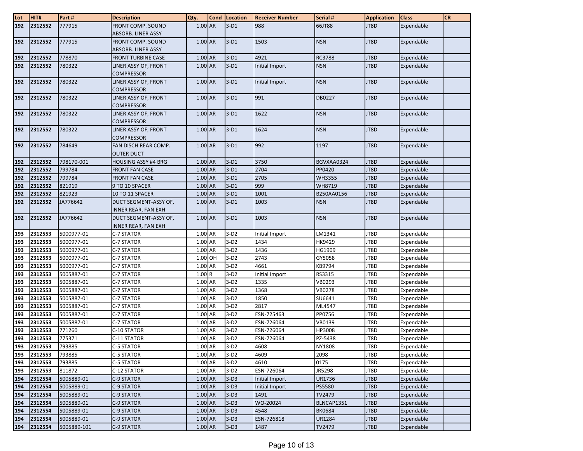| Lot        | HIT#               | Part#            | <b>Description</b>                                  | Qty.               | Cond Location    | <b>Receiver Number</b>   | Serial #          | <b>Application</b> | <b>Class</b>             | <b>CR</b> |
|------------|--------------------|------------------|-----------------------------------------------------|--------------------|------------------|--------------------------|-------------------|--------------------|--------------------------|-----------|
| 192        | 2312552            | 777915           | FRONT COMP. SOUND                                   | 1.00 AR            | $3-D1$           | 988                      | 66JT88            | JT8D               | Expendable               |           |
|            |                    |                  | ABSORB. LINER ASSY                                  |                    |                  |                          |                   |                    |                          |           |
| 192        | 2312552            | 777915           | FRONT COMP. SOUND                                   | 1.00 AR            | $3-D1$           | 1503                     | <b>NSN</b>        | JT8D               | Expendable               |           |
|            |                    |                  | ABSORB. LINER ASSY                                  |                    |                  |                          |                   |                    |                          |           |
| 192        | 2312552            | 778870           | <b>FRONT TURBINE CASE</b>                           | 1.00 AR            | $3-D1$           | 4921                     | <b>RC3788</b>     | JT8D               | Expendable               |           |
| 192        | 2312552            | 780322           | LINER ASSY OF, FRONT                                | 1.00 AR            | $3-D1$           | Initial Import           | <b>NSN</b>        | JT8D               | Expendable               |           |
|            |                    |                  | <b>COMPRESSOR</b>                                   |                    |                  |                          |                   |                    |                          |           |
| 192        | 2312552            | 780322           | LINER ASSY OF, FRONT                                | 1.00 AR            | $3-D1$           | Initial Import           | <b>NSN</b>        | JT8D               | Expendable               |           |
| 192        | 2312552            | 780322           | <b>COMPRESSOR</b><br>LINER ASSY OF, FRONT           | 1.00 AR            | $3-D1$           | 991                      | DB0227            | JT8D               | Expendable               |           |
|            |                    |                  | <b>COMPRESSOR</b>                                   |                    |                  |                          |                   |                    |                          |           |
| 192        | 2312552            | 780322           | LINER ASSY OF, FRONT                                | 1.00 AR            | $3-D1$           | 1622                     | <b>NSN</b>        | JT8D               | Expendable               |           |
|            |                    |                  | <b>COMPRESSOR</b>                                   |                    |                  |                          |                   |                    |                          |           |
| 192        | 2312552            | 780322           | LINER ASSY OF, FRONT                                | 1.00 AR            | $3-D1$           | 1624                     | <b>NSN</b>        | JT8D               | Expendable               |           |
|            |                    |                  | <b>COMPRESSOR</b>                                   |                    |                  |                          |                   |                    |                          |           |
| 192        | 2312552            | 784649           | FAN DISCH REAR COMP.                                | $1.00$ AR          | $3-D1$           | 992                      | 1197              | JT8D               | Expendable               |           |
|            |                    |                  | <b>OUTER DUCT</b>                                   |                    |                  |                          |                   |                    |                          |           |
| 192        | 2312552            | 798170-001       | <b>HOUSING ASSY #4 BRG</b>                          | 1.00 AR            | $3-D1$           | 3750                     | BGVXAA0324        | JT8D               | Expendable               |           |
| 192        | 2312552            | 799784           | <b>FRONT FAN CASE</b>                               | 1.00 AR            | $3-D1$           | 2704                     | PP0420            | JT8D               | Expendable               |           |
| 192        | 2312552            | 799784           | <b>FRONT FAN CASE</b>                               | 1.00 AR            | $3-D1$           | 2705                     | <b>WH3355</b>     | JT8D               | Expendable               |           |
| 192        | 2312552            | 821919           | 9 TO 10 SPACER                                      | 1.00 AR            | $3-D1$           | 999                      | WH8719            | JT8D               | Expendable               |           |
| 192        | 2312552            | 821923           | 10 TO 11 SPACER                                     | 1.00 AR            | $3-D1$           | 1001                     | B250AA0156        | JT8D               | Expendable               |           |
| 192        | 2312552            | JA776642         | DUCT SEGMENT-ASSY OF,<br><b>INNER REAR, FAN EXH</b> | 1.00 AR            | $3-D1$           | 1003                     | <b>NSN</b>        | JT8D               | Expendable               |           |
| 192        | 2312552            | JA776642         | DUCT SEGMENT-ASSY OF,                               | 1.00 AR            | $3-D1$           | 1003                     | <b>NSN</b>        | JT8D               | Expendable               |           |
|            |                    |                  | <b>INNER REAR, FAN EXH</b>                          |                    |                  |                          |                   |                    |                          |           |
| 193        | 2312553            | 5000977-01       | C-7 STATOR                                          | 1.00 AR            | $3-D2$           | Initial Import           | LM1341            | JT8D               | Expendable               |           |
| 193        | 2312553            | 5000977-01       | C-7 STATOR                                          | 1.00 AR            | $3-D2$           | 1434                     | HK9429            | JT8D               | Expendable               |           |
| 193        | 2312553            | 5000977-01       | C-7 STATOR                                          | 1.00 AR            | $3-D2$           | 1436                     | HG1909            | JT8D               | Expendable               |           |
| 193        | 2312553            | 5000977-01       | C-7 STATOR                                          | 1.00 OH            | $3-D2$           | 2743                     | GY5058            | JT8D               | Expendable               |           |
| 193        | 2312553            | 5000977-01       | C-7 STATOR                                          | 1.00 AR            | $3-D2$           | 4661                     | KB9794            | JT8D               | Expendable               |           |
| 193        | 2312553            | 5005887-01       | C-7 STATOR                                          | 1.00R              | $3-D2$           | Initial Import           | RS3315            | JT8D               | Expendable               |           |
| 193        | 2312553            | 5005887-01       | C-7 STATOR                                          | 1.00 AR            | $3-D2$           | 1335                     | VB0293            | JT8D               | Expendable               |           |
| 193        | 2312553            | 5005887-01       | C-7 STATOR                                          | $1.00$ AR          | $3-D2$           | 1368                     | <b>VB0278</b>     | JT8D               | Expendable               |           |
| 193        | 2312553            | 5005887-01       | C-7 STATOR                                          | 1.00 AR            | $3-D2$           | 1850                     | SU6641            | JT8D               | Expendable               |           |
| 193        | 2312553            | 5005887-01       | C-7 STATOR                                          | 1.00 AR            | $3-D2$           | 2817                     | ML4547            | JT8D               | Expendable               |           |
| 193        | 2312553            | 5005887-01       | C-7 STATOR                                          | 1.00 AR            | $3-D2$           | ESN-725463               | PP0756            | JT8D               | Expendable               |           |
| 193        | 2312553            | 5005887-01       | C-7 STATOR                                          | 1.00 AR            | $3-D2$           | ESN-726064               | VB0139            | JT8D               | Expendable               |           |
| 193<br>193 | 2312553<br>2312553 | 771260<br>775371 | C-10 STATOR                                         | 1.00 AR<br>1.00 AR | $3-D2$<br>$3-D2$ | ESN-726064<br>ESN-726064 | HP3008<br>PZ-5438 | JT8D<br>JT8D       | Expendable<br>Expendable |           |
| 193        | 2312553            | 793885           | C-11 STATOR<br><b>C-5 STATOR</b>                    | 1.00 AR            | $3-D2$           | 4608                     | <b>NY1808</b>     | JT8D               | Expendable               |           |
| 193        | 2312553            | 793885           | C-5 STATOR                                          | 1.00 AR            | $3-D2$           | 4609                     | 2098              | JT8D               | Expendable               |           |
| 193        | 2312553            | 793885           | C-5 STATOR                                          | 1.00 AR            | $3-D2$           | 4610                     | 0175              | JT8D               | Expendable               |           |
| 193        | 2312553            | 811872           | C-12 STATOR                                         | 1.00 AR            | $3-D2$           | ESN-726064               | JR5298            | JT8D               | Expendable               |           |
| 194        | 2312554            | 5005889-01       | C-9 STATOR                                          | $1.00$ AR          | $3-D3$           | Initial Import           | <b>UR1736</b>     | JT8D               | Expendable               |           |
| 194        | 2312554            | 5005889-01       | C-9 STATOR                                          | 1.00 AR            | $3-D3$           | Initial Import           | PS5580            | JT8D               | Expendable               |           |
| 194        | 2312554            | 5005889-01       | C-9 STATOR                                          | 1.00 AR            | $3-D3$           | 1491                     | TV2479            | JT8D               | Expendable               |           |
| 194        | 2312554            | 5005889-01       | C-9 STATOR                                          | $1.00$ AR          | $3-D3$           | WO-20024                 | BLNCAP1351        | JT8D               | Expendable               |           |
| 194        | 2312554            | 5005889-01       | C-9 STATOR                                          | $1.00$ AR          | $3-D3$           | 4548                     | <b>BK0684</b>     | JT8D               | Expendable               |           |
| 194        | 2312554            | 5005889-01       | C-9 STATOR                                          | 1.00 AR            | $3-D3$           | ESN-726818               | <b>UR1284</b>     | JT8D               | Expendable               |           |
| 194        | 2312554            | 5005889-101      | C-9 STATOR                                          | 1.00 AR            | $3-D3$           | 1487                     | TV2479            | JT8D               | Expendable               |           |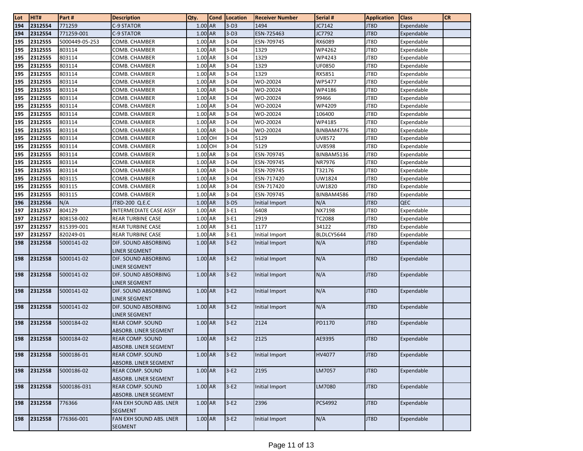| Lot | HIT#        | Part#          | <b>Description</b>                               | Qty.      | <b>Cond</b> | Location | <b>Receiver Number</b> | Serial #      | <b>Application</b> | <b>Class</b> | <b>CR</b> |
|-----|-------------|----------------|--------------------------------------------------|-----------|-------------|----------|------------------------|---------------|--------------------|--------------|-----------|
| 194 | 2312554     | 771259         | C-9 STATOR                                       | 1.00 AR   |             | $3-D3$   | 1494                   | JC7142        | JT8D               | Expendable   |           |
| 194 | 2312554     | 771259-001     | C-9 STATOR                                       | 1.00 AR   |             | $3-D3$   | ESN-725463             | JC7792        | JT8D               | Expendable   |           |
| 195 | 2312555     | 5000449-05-253 | COMB. CHAMBER                                    | 1.00 AR   |             | $3-D4$   | ESN-709745             | RX6089        | JT8D               | Expendable   |           |
| 195 | 2312555     | 803114         | COMB. CHAMBER                                    | 1.00 AR   |             | $3-D4$   | 1329                   | WP4262        | JT8D               | Expendable   |           |
| 195 | 2312555     | 803114         | COMB. CHAMBER                                    | 1.00 AR   |             | $3-D4$   | 1329                   | WP4243        | JT8D               | Expendable   |           |
| 195 | 2312555     | 803114         | COMB. CHAMBER                                    | 1.00 AR   |             | $3-D4$   | 1329                   | UF0850        | JT8D               | Expendable   |           |
| 195 | 2312555     | 803114         | COMB. CHAMBER                                    | 1.00 AR   |             | $3-D4$   | 1329                   | RX5851        | JT8D               | Expendable   |           |
| 195 | 2312555     | 803114         | COMB. CHAMBER                                    | 1.00 AR   |             | $3-D4$   | WO-20024               | WP5477        | JT8D               | Expendable   |           |
| 195 | 2312555     | 803114         | COMB. CHAMBER                                    | 1.00 AR   |             | $3-D4$   | WO-20024               | WP4186        | JT8D               | Expendable   |           |
| 195 | 2312555     | 803114         | COMB. CHAMBER                                    | 1.00 AR   |             | $3-D4$   | WO-20024               | 99466         | JT8D               | Expendable   |           |
| 195 | 2312555     | 803114         | COMB. CHAMBER                                    | 1.00 AR   |             | $3-D4$   | WO-20024               | WP4209        | JT8D               | Expendable   |           |
| 195 | 2312555     | 803114         | COMB. CHAMBER                                    | 1.00 AR   |             | $3-D4$   | WO-20024               | 106400        | JT8D               | Expendable   |           |
| 195 | 2312555     | 803114         | COMB. CHAMBER                                    | 1.00 AR   |             | $3-D4$   | WO-20024               | WP4185        | JT8D               | Expendable   |           |
| 195 | 2312555     | 803114         | COMB. CHAMBER                                    | 1.00 AR   |             | $3-D4$   | WO-20024               | BJNBAM4776    | JT8D               | Expendable   |           |
| 195 | 2312555     | 803114         | COMB. CHAMBER                                    | 1.00 OH   |             | $3-D4$   | 5129                   | UV8572        | JT8D               | Expendable   |           |
| 195 | 2312555     | 803114         | COMB. CHAMBER                                    | 1.00 OH   |             | $3-D4$   | 5129                   | <b>UV8598</b> | JT8D               | Expendable   |           |
| 195 | 2312555     | 803114         | COMB. CHAMBER                                    | 1.00 AR   |             | $3-D4$   | ESN-709745             | BJNBAM5136    | JT8D               | Expendable   |           |
| 195 | 2312555     | 803114         | COMB. CHAMBER                                    | 1.00 AR   |             | $3-D4$   | ESN-709745             | NR7976        | JT8D               | Expendable   |           |
| 195 | 2312555     | 803114         | COMB. CHAMBER                                    | 1.00 AR   |             | $3-D4$   | ESN-709745             | T32176        | JT8D               | Expendable   |           |
| 195 | 2312555     | 803115         | COMB. CHAMBER                                    | 1.00 AR   |             | $3-D4$   | ESN-717420             | UW1824        | JT8D               | Expendable   |           |
| 195 | 2312555     | 803115         | COMB. CHAMBER                                    | 1.00 AR   |             | $3-D4$   | ESN-717420             | UW1820        | JT8D               | Expendable   |           |
| 195 | 2312555     | 803115         | COMB. CHAMBER                                    | 1.00 AR   |             | $3-D4$   | ESN-709745             | BJNBAM4586    | JT8D               | Expendable   |           |
| 196 | 2312556     | N/A            | JT8D-200 Q.E.C                                   | 1.00 AR   |             | $3-D5$   | Initial Import         | N/A           | JT8D               | QEC          |           |
| 197 | 2312557     | 804129         | INTERMEDIATE CASE ASSY                           | 1.00 AR   |             | $3-E1$   | 6408                   | NX7198        | JT8D               | Expendable   |           |
| 197 | 2312557     | 808158-002     | <b>REAR TURBINE CASE</b>                         | 1.00 AR   |             | $3-E1$   | 2919                   | TC2088        | JT8D               | Expendable   |           |
| 197 | 2312557     | 815399-001     | <b>REAR TURBINE CASE</b>                         | 1.00 AR   |             | $3-E1$   | 1177                   | 34122         | JT8D               | Expendable   |           |
| 197 | 2312557     | 820249-01      | <b>REAR TURBINE CASE</b>                         | 1.00 AR   |             | $3-E1$   | Initial Import         | BLDLCY5644    | JT8D               | Expendable   |           |
| 198 | 2312558     | 5000141-02     | DIF. SOUND ABSORBING<br>LINER SEGMENT            | $1.00$ AR |             | $3-E2$   | Initial Import         | N/A           | JT8D               | Expendable   |           |
| 198 | 2312558     | 5000141-02     | DIF. SOUND ABSORBING<br>LINER SEGMENT            | 1.00 AR   |             | $3-E2$   | Initial Import         | N/A           | JT8D               | Expendable   |           |
| 198 | 2312558     | 5000141-02     | DIF. SOUND ABSORBING<br>LINER SEGMENT            | 1.00 AR   |             | $3-E2$   | Initial Import         | N/A           | JT8D               | Expendable   |           |
| 198 | 2312558     | 5000141-02     | DIF. SOUND ABSORBING<br><b>LINER SEGMENT</b>     | $1.00$ AR |             | $3-E2$   | Initial Import         | N/A           | JT8D               | Expendable   |           |
| 198 | 2312558     | 5000141-02     | DIF. SOUND ABSORBING<br><b>LINER SEGMENT</b>     | 1.00 AR   |             | $3-E2$   | Initial Import         | N/A           | JT8D               | Expendable   |           |
| 198 | 2312558     | 5000184-02     | REAR COMP. SOUND<br>ABSORB. LINER SEGMENT        | 1.00 AR   |             | $3-E2$   | 2124                   | PD1170        | JT8D               | Expendable   |           |
|     | 198 2312558 | 5000184-02     | <b>REAR COMP. SOUND</b><br>ABSORB. LINER SEGMENT | $1.00$ AR |             | $3-E2$   | 2125                   | AE9395        | JT8D               | Expendable   |           |
| 198 | 2312558     | 5000186-01     | <b>REAR COMP. SOUND</b><br>ABSORB. LINER SEGMENT | 1.00 AR   |             | $3-E2$   | Initial Import         | HV4077        | JT8D               | Expendable   |           |
| 198 | 2312558     | 5000186-02     | <b>REAR COMP. SOUND</b><br>ABSORB. LINER SEGMENT | 1.00 AR   |             | $3-E2$   | 2195                   | LM7057        | JT8D               | Expendable   |           |
| 198 | 2312558     | 5000186-031    | <b>REAR COMP. SOUND</b><br>ABSORB. LINER SEGMENT | 1.00 AR   |             | $3-E2$   | Initial Import         | LM7080        | JT8D               | Expendable   |           |
| 198 | 2312558     | 776366         | FAN EXH SOUND ABS. LNER<br><b>SEGMENT</b>        | 1.00 AR   |             | $3-E2$   | 2396                   | PCS4992       | JT8D               | Expendable   |           |
| 198 | 2312558     | 776366-001     | FAN EXH SOUND ABS. LNER<br><b>SEGMENT</b>        | $1.00$ AR |             | $3-E2$   | Initial Import         | N/A           | JT8D               | Expendable   |           |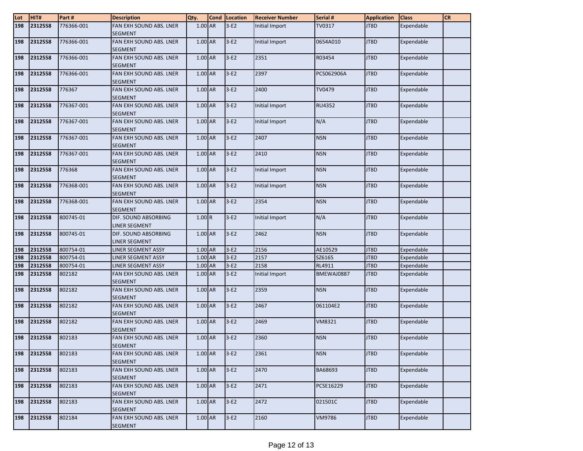| Lot | HIT#    | Part#      | <b>Description</b>                           | Qty.      | <b>Cond</b> Location | <b>Receiver Number</b> | Serial #      | <b>Application</b> | <b>Class</b> | <b>CR</b> |
|-----|---------|------------|----------------------------------------------|-----------|----------------------|------------------------|---------------|--------------------|--------------|-----------|
| 198 | 2312558 | 776366-001 | FAN EXH SOUND ABS. LNER<br><b>SEGMENT</b>    | $1.00$ AR | $3-E2$               | Initial Import         | TV0317        | JT8D               | Expendable   |           |
| 198 | 2312558 | 776366-001 | FAN EXH SOUND ABS. LNER<br><b>SEGMENT</b>    | 1.00 AR   | $3-E2$               | Initial Import         | 0654A010      | JT8D               | Expendable   |           |
| 198 | 2312558 | 776366-001 | FAN EXH SOUND ABS. LNER<br><b>SEGMENT</b>    | 1.00 AR   | $3-E2$               | 2351                   | R03454        | JT8D               | Expendable   |           |
| 198 | 2312558 | 776366-001 | FAN EXH SOUND ABS. LNER<br><b>SEGMENT</b>    | 1.00 AR   | $3-E2$               | 2397                   | PCS062906A    | JT8D               | Expendable   |           |
| 198 | 2312558 | 776367     | FAN EXH SOUND ABS. LNER<br><b>SEGMENT</b>    | 1.00 AR   | $3-E2$               | 2400                   | TV0479        | JT8D               | Expendable   |           |
| 198 | 2312558 | 776367-001 | FAN EXH SOUND ABS. LNER<br><b>SEGMENT</b>    | 1.00 AR   | $3-E2$               | Initial Import         | <b>RU4352</b> | JT8D               | Expendable   |           |
| 198 | 2312558 | 776367-001 | FAN EXH SOUND ABS. LNER<br><b>SEGMENT</b>    | 1.00 AR   | $3-E2$               | Initial Import         | N/A           | JT8D               | Expendable   |           |
| 198 | 2312558 | 776367-001 | FAN EXH SOUND ABS. LNER<br><b>SEGMENT</b>    | 1.00 AR   | $3-E2$               | 2407                   | <b>NSN</b>    | JT8D               | Expendable   |           |
| 198 | 2312558 | 776367-001 | FAN EXH SOUND ABS. LNER<br><b>SEGMENT</b>    | 1.00 AR   | $3-E2$               | 2410                   | <b>NSN</b>    | JT8D               | Expendable   |           |
| 198 | 2312558 | 776368     | FAN EXH SOUND ABS. LNER<br><b>SEGMENT</b>    | 1.00 AR   | $3-E2$               | Initial Import         | <b>NSN</b>    | JT8D               | Expendable   |           |
| 198 | 2312558 | 776368-001 | FAN EXH SOUND ABS. LNER<br><b>SEGMENT</b>    | 1.00 AR   | $3-E2$               | Initial Import         | <b>NSN</b>    | JT8D               | Expendable   |           |
| 198 | 2312558 | 776368-001 | FAN EXH SOUND ABS. LNER<br><b>SEGMENT</b>    | 1.00 AR   | $3-E2$               | 2354                   | <b>NSN</b>    | JT8D               | Expendable   |           |
| 198 | 2312558 | 800745-01  | DIF. SOUND ABSORBING<br><b>LINER SEGMENT</b> | 1.00R     | $3-E2$               | Initial Import         | N/A           | JT8D               | Expendable   |           |
| 198 | 2312558 | 800745-01  | DIF. SOUND ABSORBING<br><b>LINER SEGMENT</b> | 1.00 AR   | $3-E2$               | 2462                   | <b>NSN</b>    | JT8D               | Expendable   |           |
| 198 | 2312558 | 800754-01  | LINER SEGMENT ASSY                           | 1.00 AR   | $3-E2$               | 2156                   | AE10529       | JT8D               | Expendable   |           |
| 198 | 2312558 | 800754-01  | LINER SEGMENT ASSY                           | 1.00 AR   | $3-E2$               | 2157                   | SZ6165        | JT8D               | Expendable   |           |
| 198 | 2312558 | 800754-01  | LINER SEGMENT ASSY                           | 1.00 AR   | $3-E2$               | 2158                   | RL4911        | JT8D               | Expendable   |           |
| 198 | 2312558 | 802182     | FAN EXH SOUND ABS. LNER<br><b>SEGMENT</b>    | 1.00 AR   | $3-E2$               | Initial Import         | BMEWAJ0887    | JT8D               | Expendable   |           |
| 198 | 2312558 | 802182     | FAN EXH SOUND ABS. LNER<br><b>SEGMENT</b>    | 1.00 AR   | $3-E2$               | 2359                   | <b>NSN</b>    | JT8D               | Expendable   |           |
| 198 | 2312558 | 802182     | FAN EXH SOUND ABS. LNER<br><b>SEGMENT</b>    | 1.00 AR   | $3-E2$               | 2467                   | 061104E2      | JT8D               | Expendable   |           |
| 198 | 2312558 | 802182     | FAN EXH SOUND ABS. LNER<br><b>SEGMENT</b>    | 1.00 AR   | $3-E2$               | 2469                   | <b>VM8321</b> | JT8D               | Expendable   |           |
| 198 | 2312558 | 802183     | FAN EXH SOUND ABS. LNER<br><b>SEGMENT</b>    | $1.00$ AR | $3-E2$               | 2360                   | <b>NSN</b>    | JT8D               | Expendable   |           |
| 198 | 2312558 | 802183     | FAN EXH SOUND ABS. LNER<br><b>SEGMENT</b>    | 1.00 AR   | $3-E2$               | 2361                   | <b>NSN</b>    | JT8D               | Expendable   |           |
| 198 | 2312558 | 802183     | FAN EXH SOUND ABS. LNER<br><b>SEGMENT</b>    | 1.00 AR   | $3-E2$               | 2470                   | BA68693       | JT8D               | Expendable   |           |
| 198 | 2312558 | 802183     | FAN EXH SOUND ABS. LNER<br><b>SEGMENT</b>    | 1.00 AR   | $3-E2$               | 2471                   | PCSE16229     | JT8D               | Expendable   |           |
| 198 | 2312558 | 802183     | FAN EXH SOUND ABS. LNER<br><b>SEGMENT</b>    | 1.00 AR   | $3-E2$               | 2472                   | 021501C       | JT8D               | Expendable   |           |
| 198 | 2312558 | 802184     | FAN EXH SOUND ABS. LNER<br>SEGMENT           | 1.00 AR   | $3-E2$               | 2160                   | <b>VM9786</b> | JT8D               | Expendable   |           |